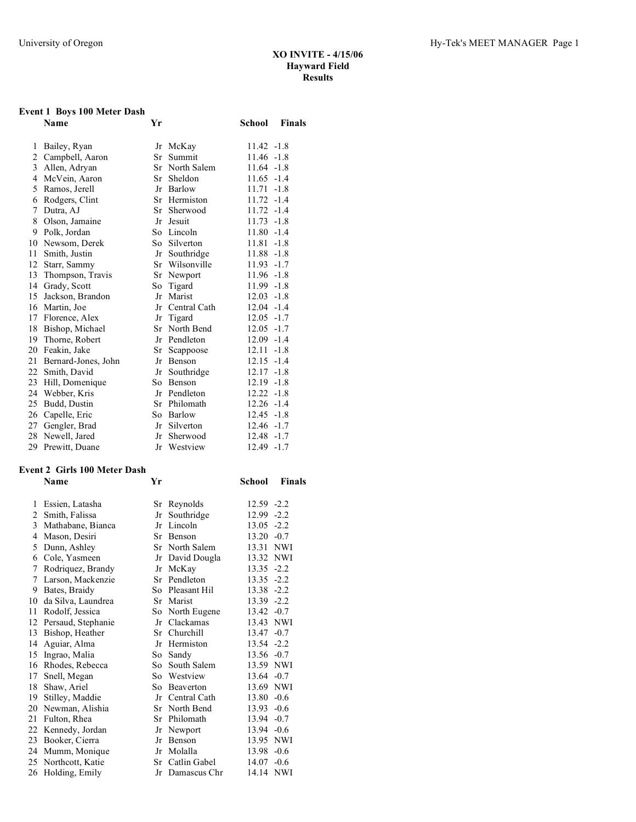# **Event 1 Boys 100 Meter Dash**

|              | Name                | Yr  |                | School        | <b>Finals</b> |
|--------------|---------------------|-----|----------------|---------------|---------------|
| 1            | Bailey, Ryan        |     | Jr McKay       | $11.42 - 1.8$ |               |
| 2            | Campbell, Aaron     | Sr  | Summit         | $11.46 - 1.8$ |               |
| $\mathbf{3}$ | Allen, Adryan       |     | Sr North Salem | $11.64 - 1.8$ |               |
| 4            | McVein, Aaron       |     | Sr Sheldon     | $11.65 - 1.4$ |               |
| 5            | Ramos, Jerell       | Jr  | Barlow         | 11.71         | $-1.8$        |
| 6            | Rodgers, Clint      |     | Sr Hermiston   | 11.72         | $-1.4$        |
| 7            | Dutra, AJ           | Sr  | Sherwood       | $11.72 - 1.4$ |               |
| 8            | Olson, Jamaine      | Jr  | Jesuit         | $11.73 - 1.8$ |               |
| 9            | Polk, Jordan        |     | So Lincoln     | $11.80 - 1.4$ |               |
| 10           | Newsom, Derek       | So- | Silverton      | 11.81         | $-1.8$        |
| 11           | Smith, Justin       | Jr  | Southridge     | $11.88 - 1.8$ |               |
| 12           | Starr, Sammy        |     | Sr Wilsonville | $11.93 - 1.7$ |               |
| 13           | Thompson, Travis    |     | Sr Newport     | $11.96 - 1.8$ |               |
| 14           | Grady, Scott        | So  | Tigard         | $11.99 - 1.8$ |               |
| 15           | Jackson, Brandon    | Jr  | Marist         | 12.03         | $-1.8$        |
| 16           | Martin, Joe         | Jr  | Central Cath   | $12.04 - 1.4$ |               |
|              | 17 Florence, Alex   | Jr  | Tigard         | $12.05 -1.7$  |               |
| 18           | Bishop, Michael     | Sr  | North Bend     | $12.05 -1.7$  |               |
| 19           | Thorne, Robert      | Jr  | Pendleton      | $12.09 - 1.4$ |               |
| 20           | Feakin, Jake        | Sr  | Scappoose      | 12.11         | $-1.8$        |
| 21           | Bernard-Jones, John | Jr  | Benson         | $12.15 - 1.4$ |               |
|              | 22 Smith, David     | Jr  | Southridge     | $12.17 - 1.8$ |               |
| 23           | Hill, Domenique     | So  | <b>Benson</b>  | $12.19 - 1.8$ |               |
| 24           | Webber, Kris        | Jr  | Pendleton      | $12.22 - 1.8$ |               |
| 25           | Budd, Dustin        | Sr  | Philomath      | $12.26 - 1.4$ |               |
| 26           | Capelle, Eric       |     | So Barlow      | $12.45 - 1.8$ |               |
| 27           | Gengler, Brad       | Jr  | Silverton      | $12.46 - 1.7$ |               |
| 28           | Newell, Jared       | Jr  | Sherwood       | $12.48 - 1.7$ |               |
| 29           | Prewitt, Duane      | Jr  | Westview       | 12.49 -1.7    |               |

### **Event 2 Girls 100 Meter Dash**

|    | <b>Name</b>        | Yr  |                 | School        | Finals     |
|----|--------------------|-----|-----------------|---------------|------------|
| 1  | Essien, Latasha    | Sr  | Reynolds        | 12.59 -2.2    |            |
| 2  | Smith, Falissa     | Jr  | Southridge      | 12.99         | $-2.2$     |
| 3  | Mathabane, Bianca  | Jr  | Lincoln         | $13.05 -2.2$  |            |
| 4  | Mason, Desiri      | Sr  | <b>Benson</b>   | $13.20 -0.7$  |            |
| 5  | Dunn, Ashley       |     | Sr North Salem  | 13.31         | <b>NWI</b> |
| 6  | Cole, Yasmeen      |     | Jr David Dougla | 13.32 NWI     |            |
| 7  | Rodriquez, Brandy  | Jr  | McKay           | $13.35 -2.2$  |            |
| 7  | Larson, Mackenzie  |     | Sr Pendleton    | $13.35 -2.2$  |            |
| 9  | Bates, Braidy      |     | So Pleasant Hil | 13.38 -2.2    |            |
| 10 | da Silva, Laundrea |     | Sr Marist       | 13.39 -2.2    |            |
| 11 | Rodolf, Jessica    |     | So North Eugene | $13.42 -0.7$  |            |
| 12 | Persaud, Stephanie | Jr  | Clackamas       | 13.43 NWI     |            |
| 13 | Bishop, Heather    |     | Sr Churchill    | 13.47         | $-0.7$     |
| 14 | Aguiar, Alma       | Jr  | Hermiston       | 13.54 -2.2    |            |
| 15 | Ingrao, Malia      | So  | Sandy           | $13.56 - 0.7$ |            |
| 16 | Rhodes, Rebecca    | So  | South Salem     | 13.59 NWI     |            |
| 17 | Snell, Megan       |     | So Westview     | $13.64 - 0.7$ |            |
| 18 | Shaw, Ariel        | So. | Beaverton       | 13.69 NWI     |            |
| 19 | Stilley, Maddie    | Jr  | Central Cath    | 13.80         | $-0.6$     |
| 20 | Newman, Alishia    |     | Sr North Bend   | 13.93         | $-0.6$     |
| 21 | Fulton, Rhea       |     | Sr Philomath    | $13.94 -0.7$  |            |
| 22 | Kennedy, Jordan    | Jr  | Newport         | $13.94 -0.6$  |            |
| 23 | Booker, Cierra     | Jr  | <b>Benson</b>   | 13.95 NWI     |            |
| 24 | Mumm, Monique      | Jr  | Molalla         | $13.98 - 0.6$ |            |
| 25 | Northcott, Katie   |     | Sr Catlin Gabel | $14.07 -0.6$  |            |
| 26 | Holding, Emily     |     | Jr Damascus Chr | 14.14 NWI     |            |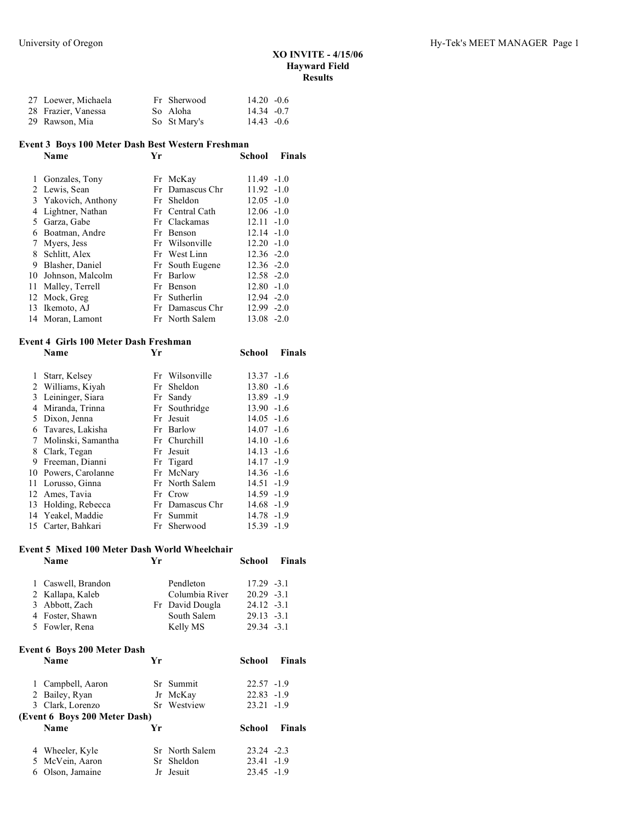| 27 Loewer, Michaela | Fr Sherwood  | $14.20 - 0.6$ |  |
|---------------------|--------------|---------------|--|
| 28 Frazier, Vanessa | So Aloha     | $14.34 - 0.7$ |  |
| 29 Rawson, Mia      | So St Mary's | $14.43 - 0.6$ |  |

#### **Event 3 Boys 100 Meter Dash Best Western Freshman**

|    | <b>Name</b>         | Yr |                 | School        | <b>Finals</b> |
|----|---------------------|----|-----------------|---------------|---------------|
| 1  | Gonzales, Tony      |    | Fr McKay        | $11.49 - 1.0$ |               |
|    | 2 Lewis, Sean       |    | Fr Damascus Chr | $11.92 - 1.0$ |               |
|    | 3 Yakovich, Anthony |    | Fr Sheldon      | $12.05 - 1.0$ |               |
| 4  | Lightner, Nathan    |    | Fr Central Cath | $12.06 - 1.0$ |               |
| 5. | Garza, Gabe         |    | Fr Clackamas    | $12.11 - 1.0$ |               |
| 6  | Boatman, Andre      |    | Fr Benson       | $12.14 - 1.0$ |               |
| 7  | Myers, Jess         |    | Fr Wilsonville  | $12.20 - 1.0$ |               |
| 8  | Schlitt, Alex       |    | Fr West Linn    | $12.36 - 2.0$ |               |
| 9  | Blasher, Daniel     |    | Fr South Eugene | $12.36 - 2.0$ |               |
|    | 10 Johnson, Malcolm |    | Fr Barlow       | $12.58 - 2.0$ |               |
| 11 | Malley, Terrell     |    | Fr Benson       | $12.80 - 1.0$ |               |
|    | 12 Mock, Greg       |    | Fr Sutherlin    | $12.94 - 2.0$ |               |
|    | 13 Ikemoto, AJ      |    | Fr Damascus Chr | $12.99 - 2.0$ |               |
|    | 14 Moran, Lamont    |    | Fr North Salem  | $13.08 - 2.0$ |               |

## **Event 4 Girls 100 Meter Dash Freshman**

|   | <b>Name</b>          | Yr |                 | School        | <b>Finals</b> |
|---|----------------------|----|-----------------|---------------|---------------|
| 1 | Starr, Kelsey        |    | Fr Wilsonville  | $13.37 - 1.6$ |               |
|   | 2 Williams, Kiyah    |    | Fr Sheldon      | $13.80 - 1.6$ |               |
| 3 | Leininger, Siara     |    | Fr Sandy        | 13.89 -1.9    |               |
| 4 | Miranda, Trinna      |    | Fr Southridge   | $13.90 -1.6$  |               |
|   | 5 Dixon, Jenna       |    | Fr Jesuit       | $14.05 -1.6$  |               |
|   | 6 Tavares, Lakisha   |    | Fr Barlow       | $14.07 - 1.6$ |               |
|   | 7 Molinski, Samantha |    | Fr Churchill    | $14.10 - 1.6$ |               |
|   | 8 Clark, Tegan       |    | Fr Jesuit       | $14.13 - 1.6$ |               |
| 9 | Freeman, Dianni      |    | Fr Tigard       | $14.17 - 1.9$ |               |
|   | 10 Powers, Carolanne |    | Fr McNary       | $14.36 - 1.6$ |               |
|   | 11 Lorusso, Ginna    |    | Fr North Salem  | $14.51 - 1.9$ |               |
|   | 12 Ames, Tavia       |    | Fr Crow         | 14.59 -1.9    |               |
|   | 13 Holding, Rebecca  |    | Fr Damascus Chr | $14.68 - 1.9$ |               |
|   | 14 Yeakel, Maddie    |    | Fr Summit       | 14.78 -1.9    |               |
|   | 15 Carter, Bahkari   |    | Fr Sherwood     | $15.39 - 1.9$ |               |

# **Event 5 Mixed 100 Meter Dash World Wheelchair**

|              | Name                               | Yr |                 | School        | Finals        |
|--------------|------------------------------------|----|-----------------|---------------|---------------|
| $\mathbf{1}$ | Caswell, Brandon                   |    | Pendleton       | $17.29 - 3.1$ |               |
| 2            | Kallapa, Kaleb                     |    | Columbia River  | $20.29 -3.1$  |               |
| 3            | Abbott, Zach                       |    | Fr David Dougla | $24.12 -3.1$  |               |
| 4            | Foster, Shawn                      |    | South Salem     | $29.13 -3.1$  |               |
| 5            | Fowler, Rena                       |    | Kelly MS        | $29.34 - 3.1$ |               |
|              | <b>Event 6 Boys 200 Meter Dash</b> |    |                 |               |               |
|              | <b>Name</b>                        | Yr |                 | School        | <b>Finals</b> |
| 1            | Campbell, Aaron                    |    | Sr Summit       | $22.57 - 1.9$ |               |
| 2            | Bailey, Ryan                       |    | Jr McKay        | $22.83 - 1.9$ |               |
|              | 3 Clark, Lorenzo                   |    | Sr Westview     | $23.21 - 1.9$ |               |
|              | (Event 6 Boys 200 Meter Dash)      |    |                 |               |               |
|              | Name                               | Yr |                 | School        | <b>Finals</b> |
| 4            | Wheeler, Kyle                      |    | Sr North Salem  | $23.24 -2.3$  |               |
| 5            | McVein, Aaron                      |    | Sr Sheldon      | $23.41 - 1.9$ |               |
| 6            | Olson, Jamaine                     |    | Jr Jesuit       | $23.45 -1.9$  |               |
|              |                                    |    |                 |               |               |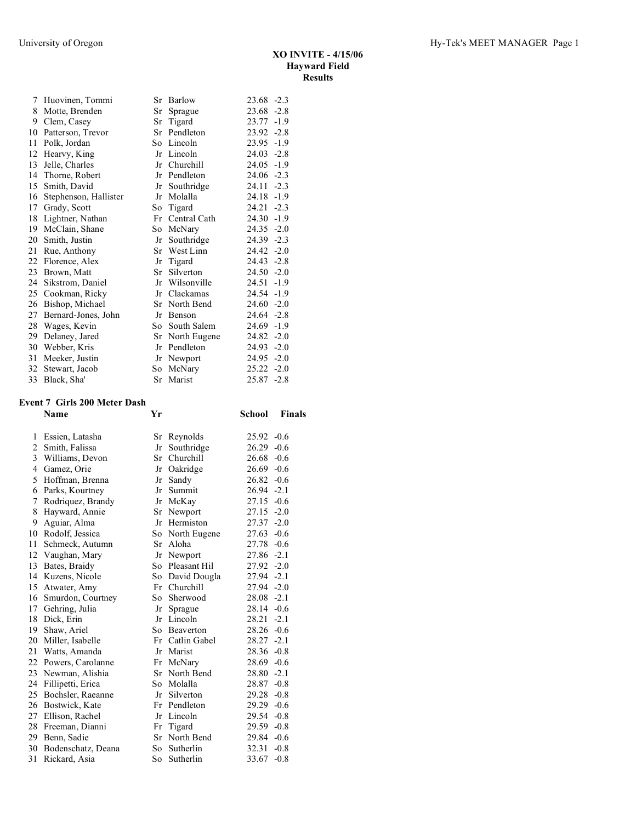| 7  | Huovinen, Tommi       |      | Sr Barlow    | $23.68 - 2.3$   |
|----|-----------------------|------|--------------|-----------------|
| 8  | Motte, Brenden        | Sr   | Sprague      | $-2.8$<br>23.68 |
| 9  | Clem, Casey           | Sr   | Tigard       | 23.77<br>$-1.9$ |
| 10 | Patterson, Trevor     | Sr   | Pendleton    | $23.92 -2.8$    |
| 11 | Polk, Jordan          |      | So Lincoln   | $23.95 -1.9$    |
| 12 | Hearvy, King          | Jr   | Lincoln      | $24.03 - 2.8$   |
| 13 | Jelle, Charles        | Jr   | Churchill    | 24.05<br>$-1.9$ |
| 14 | Thorne, Robert        | Jr   | Pendleton    | $24.06 -2.3$    |
| 15 | Smith, David          | Jr   | Southridge   | 24.11<br>$-2.3$ |
| 16 | Stephenson, Hallister | Jr   | Molalla      | $-1.9$<br>24.18 |
| 17 | Grady, Scott          | So   | Tigard       | 24.21<br>$-2.3$ |
| 18 | Lightner, Nathan      | Fr   | Central Cath | $24.30 -1.9$    |
| 19 | McClain, Shane        | So   | McNary       | $24.35 - 2.0$   |
| 20 | Smith, Justin         | Jr   | Southridge   | 24.39 -2.3      |
| 21 | Rue, Anthony          | Sr   | West Linn    | $-2.0$<br>24.42 |
| 22 | Florence, Alex        | Jr   | Tigard       | 24.43 -2.8      |
| 23 | Brown, Matt           | Sr   | Silverton    | $24.50 - 2.0$   |
| 24 | Sikstrom, Daniel      | Jr   | Wilsonville  | 24.51<br>$-1.9$ |
| 25 | Cookman, Ricky        | Jr   | Clackamas    | 24.54 -1.9      |
| 26 | Bishop, Michael       | Sr   | North Bend   | $24.60 -2.0$    |
| 27 | Bernard-Jones, John   | Jr   | Benson       | $24.64 - 2.8$   |
| 28 | Wages, Kevin          | So - | South Salem  | $24.69 - 1.9$   |
| 29 | Delaney, Jared        | Sr   | North Eugene | 24.82<br>$-2.0$ |
| 30 | Webber, Kris          | Jr   | Pendleton    | $24.93 - 2.0$   |
| 31 | Meeker, Justin        | Jr   | Newport      | $24.95 -2.0$    |
| 32 | Stewart, Jacob        | So   | McNary       | $25.22 - 2.0$   |
| 33 | Black, Sha'           |      | Sr Marist    | 25.87 -2.8      |

## **Event 7 Girls 200 Meter Dash**

|    | <b>Name</b>          | Yr  |                 | School        | Finals |
|----|----------------------|-----|-----------------|---------------|--------|
| 1  | Essien, Latasha      |     | Sr Reynolds     | $25.92 -0.6$  |        |
| 2  | Smith, Falissa       | Jr  | Southridge      | $26.29 - 0.6$ |        |
| 3  | Williams, Devon      | Sr  | Churchill       | $26.68 - 0.6$ |        |
| 4  | Gamez, Orie          | Jr  | Oakridge        | $26.69 - 0.6$ |        |
| 5  | Hoffman, Brenna      | Jr  | Sandy           | $26.82 - 0.6$ |        |
| 6  | Parks, Kourtney      | Jr  | Summit          | $26.94 -2.1$  |        |
| 7  | Rodriguez, Brandy    | Jr  | McKay           | $27.15 -0.6$  |        |
| 8  | Hayward, Annie       | Sr  | Newport         | $27.15 - 2.0$ |        |
| 9  | Aguiar, Alma         | Jr  | Hermiston       | $27.37 - 2.0$ |        |
| 10 | Rodolf, Jessica      | So  | North Eugene    | $27.63 - 0.6$ |        |
| 11 | Schmeck, Autumn      | Sr  | Aloha           | 27.78         | $-0.6$ |
| 12 | Vaughan, Mary        | Jr  | Newport         | 27.86 -2.1    |        |
| 13 | Bates, Braidy        |     | So Pleasant Hil | $27.92 -2.0$  |        |
|    | 14 Kuzens, Nicole    | So  | David Dougla    | 27.94 - 2.1   |        |
| 15 | Atwater, Amy         | Fr  | Churchill       | 27.94 -2.0    |        |
|    | 16 Smurdon, Courtney | So  | Sherwood        | $28.08 - 2.1$ |        |
|    | 17 Gehring, Julia    | Jr  | Sprague         | $28.14 - 0.6$ |        |
| 18 | Dick, Erin           | Jr  | Lincoln         | 28.21         | $-2.1$ |
| 19 | Shaw, Ariel          | So  | Beaverton       | $28.26 -0.6$  |        |
| 20 | Miller, Isabelle     | Fr  | Catlin Gabel    | 28.27         | $-2.1$ |
|    | 21 Watts, Amanda     | Jr  | Marist          | $28.36 -0.8$  |        |
|    | 22 Powers, Carolanne | Fr  | McNary          | $28.69 - 0.6$ |        |
| 23 | Newman, Alishia      | Sr  | North Bend      | $28.80 -2.1$  |        |
| 24 | Fillipetti, Erica    | So. | Molalla         | $28.87 -0.8$  |        |
| 25 | Bochsler, Raeanne    | Jr  | Silverton       | $29.28 - 0.8$ |        |
| 26 | Bostwick, Kate       | Fr  | Pendleton       | $29.29 - 0.6$ |        |
| 27 | Ellison, Rachel      | Jr  | Lincoln         | $29.54 -0.8$  |        |
| 28 | Freeman, Dianni      | Fr  | Tigard          | $29.59 - 0.8$ |        |
|    | 29 Benn, Sadie       | Sr  | North Bend      | 29.84 -0.6    |        |
| 30 | Bodenschatz, Deana   | So  | Sutherlin       | 32.31         | $-0.8$ |
| 31 | Rickard, Asia        | So  | Sutherlin       | 33.67         | $-0.8$ |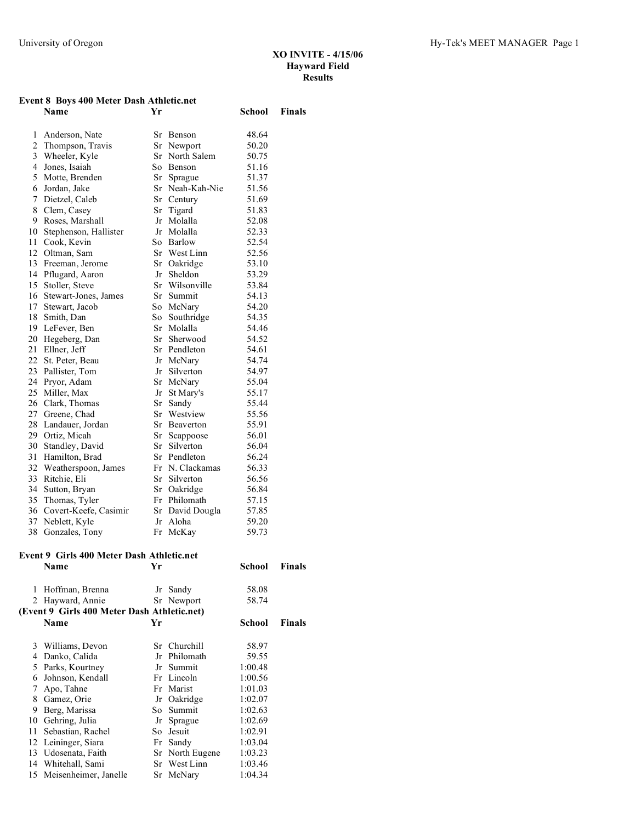#### **Event 8 Boys 400 Meter Dash Athletic.net**

|                | <b>Name</b>              | Yr  |                 | School | <b>Finals</b> |
|----------------|--------------------------|-----|-----------------|--------|---------------|
| 1              | Anderson, Nate           | Sr  | Benson          | 48.64  |               |
|                | 2 Thompson, Travis       |     | Sr Newport      | 50.20  |               |
| 3              | Wheeler, Kyle            | Sr  | North Salem     | 50.75  |               |
| $\overline{4}$ | Jones, Isaiah            | So  | Benson          | 51.16  |               |
| 5              | Motte, Brenden           | Sr  | Sprague         | 51.37  |               |
| 6              | Jordan, Jake             | Sr  | Neah-Kah-Nie    | 51.56  |               |
| 7              | Dietzel, Caleb           |     | Sr Century      | 51.69  |               |
| 8              | Clem, Casey              | Sr  | Tigard          | 51.83  |               |
| 9              | Roses, Marshall          | Jr  | Molalla         | 52.08  |               |
| 10             | Stephenson, Hallister    | Jr  | Molalla         | 52.33  |               |
| 11             | Cook, Kevin              | So  | Barlow          | 52.54  |               |
| 12             | Oltman, Sam              |     | Sr West Linn    | 52.56  |               |
| 13             | Freeman, Jerome          | Sr  | Oakridge        | 53.10  |               |
|                | 14 Pflugard, Aaron       | Jr  | Sheldon         | 53.29  |               |
| 15             | Stoller, Steve           | Sr  | Wilsonville     | 53.84  |               |
|                | 16 Stewart-Jones, James  | Sr  | Summit          | 54.13  |               |
| 17             | Stewart, Jacob           | So  | McNary          | 54.20  |               |
|                | 18 Smith, Dan            | So. | Southridge      | 54.35  |               |
|                | 19 LeFever, Ben          | Sr  | Molalla         | 54.46  |               |
|                | 20 Hegeberg, Dan         | Sr  | Sherwood        | 54.52  |               |
| 21             | Ellner, Jeff             |     | Sr Pendleton    | 54.61  |               |
|                | 22 St. Peter, Beau       |     | Jr McNary       | 54.74  |               |
| 23             | Pallister, Tom           |     | Jr Silverton    | 54.97  |               |
|                | 24 Pryor, Adam           |     | Sr McNary       | 55.04  |               |
| 25             | Miller, Max              | Jr  | St Mary's       | 55.17  |               |
|                | 26 Clark, Thomas         | Sr  | Sandy           | 55.44  |               |
| 27             | Greene, Chad             | Sr  | Westview        | 55.56  |               |
| 28             | Landauer, Jordan         | Sr  | Beaverton       | 55.91  |               |
| 29             | Ortiz, Micah             | Sr  | Scappoose       | 56.01  |               |
| 30             | Standley, David          | Sr  | Silverton       | 56.04  |               |
| 31             | Hamilton, Brad           |     | Sr Pendleton    | 56.24  |               |
| 32             | Weatherspoon, James      |     | Fr N. Clackamas | 56.33  |               |
| 33             | Ritchie, Eli             | Sr  | Silverton       | 56.56  |               |
| 34             | Sutton, Bryan            | Sr  | Oakridge        | 56.84  |               |
|                | 35 Thomas, Tyler         |     | Fr Philomath    | 57.15  |               |
|                | 36 Covert-Keefe, Casimir | Sr  | David Dougla    | 57.85  |               |
| 37             | Neblett, Kyle            | Jr  | Aloha           | 59.20  |               |
| 38             | Gonzales, Tony           | Fr  | McKay           | 59.73  |               |

# **Event 9 Girls 400 Meter Dash Athletic.net**

|    | <b>Name</b>                                 | Yr |                 | School  | <b>Finals</b> |
|----|---------------------------------------------|----|-----------------|---------|---------------|
| 1  | Hoffman, Brenna                             |    | Jr Sandy        | 58.08   |               |
|    | 2 Hayward, Annie                            |    | Sr Newport      | 58.74   |               |
|    | (Event 9 Girls 400 Meter Dash Athletic.net) |    |                 |         |               |
|    | Name                                        | Yr |                 | School  | <b>Finals</b> |
| 3  | Williams, Devon                             |    | Sr Churchill    | 58.97   |               |
| 4  | Danko, Calida                               |    | Jr Philomath    | 59.55   |               |
| 5  | Parks, Kourtney                             |    | Jr Summit       | 1:00.48 |               |
| 6  | Johnson, Kendall                            |    | Fr Lincoln      | 1:00.56 |               |
| 7  | Apo, Tahne                                  |    | Fr Marist       | 1:01.03 |               |
| 8  | Gamez, Orie                                 |    | Jr Oakridge     | 1:02.07 |               |
| 9  | Berg, Marissa                               |    | So Summit       | 1:02.63 |               |
| 10 | Gehring, Julia                              | Jr | Sprague         | 1:02.69 |               |
| 11 | Sebastian, Rachel                           |    | So Jesuit       | 1:02.91 |               |
| 12 | Leininger, Siara                            |    | Fr Sandy        | 1:03.04 |               |
| 13 | Udosenata, Faith                            |    | Sr North Eugene | 1:03.23 |               |
| 14 | Whitehall, Sami                             |    | Sr West Linn    | 1:03.46 |               |
|    | 15 Meisenheimer, Janelle                    |    | Sr McNary       | 1:04.34 |               |
|    |                                             |    |                 |         |               |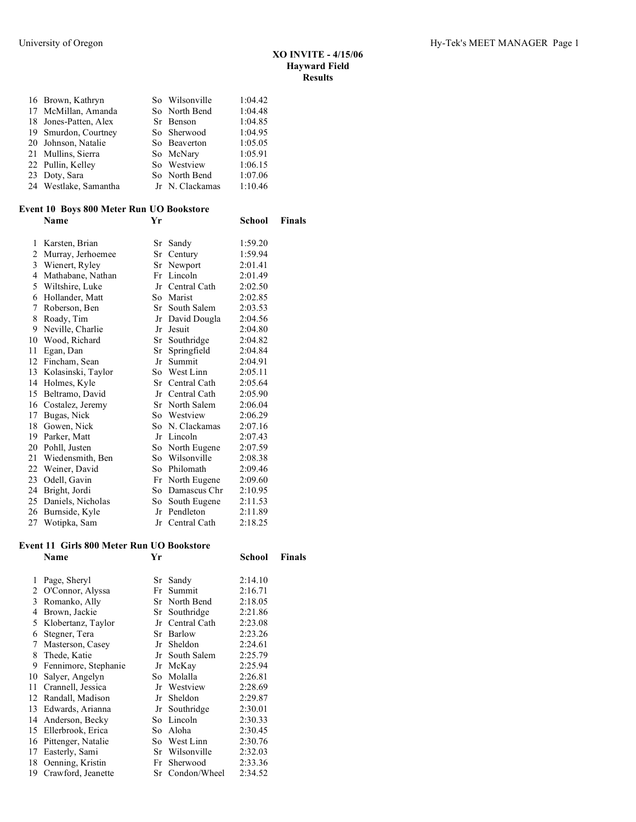**School Finals** 

| 16 Brown, Kathryn     | So Wilsonville  | 1:04.42 |
|-----------------------|-----------------|---------|
|                       |                 |         |
| 17 McMillan, Amanda   | So North Bend   | 1:04.48 |
| 18 Jones-Patten, Alex | Sr Benson       | 1:04.85 |
| 19 Smurdon, Courtney  | So Sherwood     | 1:04.95 |
| 20 Johnson, Natalie   | So Beaverton    | 1:05.05 |
| 21 Mullins, Sierra    | So McNary       | 1:05.91 |
| 22 Pullin, Kelley     | So Westview     | 1:06.15 |
| 23 Doty, Sara         | So North Bend   | 1:07.06 |
| 24 Westlake, Samantha | Jr N. Clackamas | 1:10.46 |
|                       |                 |         |

# **Event 10 Boys 800 Meter Run UO Bookstore**

| 1  | Karsten, Brian     | Sr | Sandy           | 1:59.20 |
|----|--------------------|----|-----------------|---------|
| 2  | Murray, Jerhoemee  | Sr | Century         | 1:59.94 |
| 3  | Wienert, Ryley     | Sr | Newport         | 2:01.41 |
| 4  | Mathabane, Nathan  | Fr | Lincoln         | 2:01.49 |
| 5  | Wiltshire, Luke    | Jr | Central Cath    | 2:02.50 |
| 6  | Hollander, Matt    | So | Marist          | 2:02.85 |
| 7  | Roberson, Ben      | Sr | South Salem     | 2:03.53 |
| 8  | Roady, Tim         | Jr | David Dougla    | 2:04.56 |
| 9  | Neville, Charlie   | Jr | Jesuit          | 2:04.80 |
| 10 | Wood, Richard      | Sr | Southridge      | 2:04.82 |
| 11 | Egan, Dan          | Sr | Springfield     | 2:04.84 |
| 12 | Fincham, Sean      | Jr | Summit          | 2:04.91 |
| 13 | Kolasinski, Taylor |    | So West Linn    | 2:05.11 |
| 14 | Holmes, Kyle       | Sr | Central Cath    | 2:05.64 |
| 15 | Beltramo, David    | Jr | Central Cath    | 2:05.90 |
| 16 | Costalez, Jeremy   | Sr | North Salem     | 2:06.04 |
| 17 | Bugas, Nick        |    | So Westview     | 2:06.29 |
| 18 | Gowen, Nick        | So | N. Clackamas    | 2:07.16 |
| 19 | Parker, Matt       |    | Jr Lincoln      | 2:07.43 |
| 20 | Pohll, Justen      | So | North Eugene    | 2:07.59 |
| 21 | Wiedensmith, Ben   | So | Wilsonville     | 2:08.38 |
| 22 | Weiner, David      | So | Philomath       | 2:09.46 |
| 23 | Odell, Gavin       | Fr | North Eugene    | 2:09.60 |
| 24 | Bright, Jordi      | So | Damascus Chr    | 2:10.95 |
| 25 | Daniels, Nicholas  | So | South Eugene    | 2:11.53 |
| 26 | Burnside, Kyle     | Jr | Pendleton       | 2:11.89 |
| 27 | Wotipka, Sam       |    | Jr Central Cath | 2:18.25 |

# **Event 11 Girls 800 Meter Run UO Bookstore**

|    | Name                  | Yr |                 | School  | Finals |
|----|-----------------------|----|-----------------|---------|--------|
| 1  | Page, Sheryl          |    | Sr Sandy        | 2:14.10 |        |
| 2  | O'Connor, Alyssa      |    | Fr Summit       | 2:16.71 |        |
| 3  | Romanko, Ally         |    | Sr North Bend   | 2:18.05 |        |
| 4  | Brown, Jackie         |    | Sr Southridge   | 2:21.86 |        |
| 5  | Klobertanz, Taylor    |    | Jr Central Cath | 2:23.08 |        |
| 6  | Stegner, Tera         |    | Sr Barlow       | 2:23.26 |        |
| 7  | Masterson, Casey      |    | Jr Sheldon      | 2:24.61 |        |
| 8  | Thede, Katie          |    | Jr South Salem  | 2:25.79 |        |
| 9  | Fennimore, Stephanie  |    | Jr McKay        | 2:25.94 |        |
| 10 | Salyer, Angelyn       |    | So Molalla      | 2:26.81 |        |
| 11 | Crannell, Jessica     |    | Jr Westview     | 2:28.69 |        |
| 12 | Randall, Madison      |    | Jr Sheldon      | 2:29.87 |        |
| 13 | Edwards, Arianna      |    | Jr Southridge   | 2:30.01 |        |
| 14 | Anderson, Becky       |    | So Lincoln      | 2:30.33 |        |
| 15 | Ellerbrook, Erica     |    | So Aloha        | 2:30.45 |        |
| 16 | Pittenger, Natalie    |    | So West Linn    | 2:30.76 |        |
| 17 | Easterly, Sami        |    | Sr Wilsonville  | 2:32.03 |        |
| 18 | Oenning, Kristin      |    | Fr Sherwood     | 2:33.36 |        |
|    | 19 Crawford, Jeanette |    | Sr Condon/Wheel | 2:34.52 |        |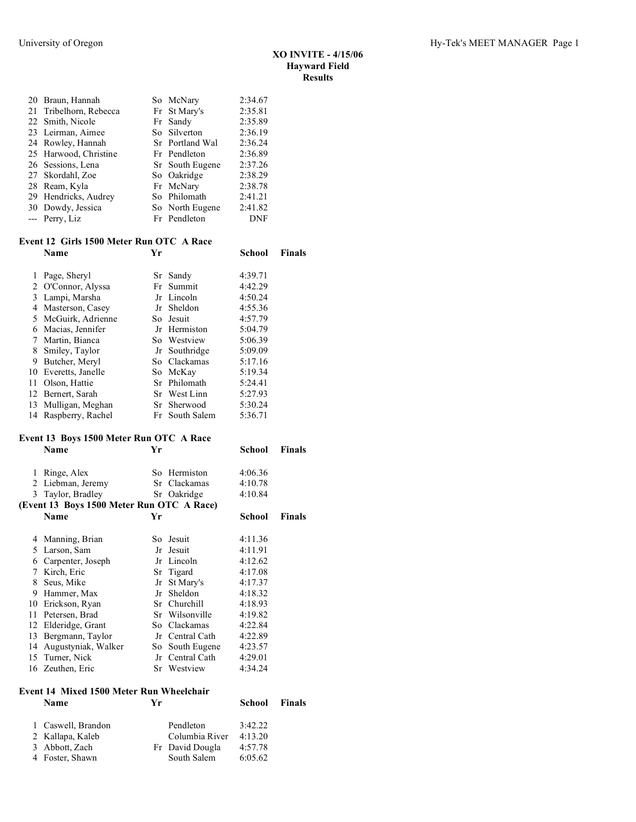| 20 Braun, Hannah       | So McNary       | 2:34.67    |
|------------------------|-----------------|------------|
| 21 Tribelhorn, Rebecca | Fr St Mary's    | 2:35.81    |
| 22 Smith, Nicole       | Fr Sandy        | 2:35.89    |
| 23 Leirman, Aimee      | So Silverton    | 2:36.19    |
| 24 Rowley, Hannah      | Sr Portland Wal | 2:36.24    |
| 25 Harwood, Christine  | Fr Pendleton    | 2:36.89    |
| 26 Sessions, Lena      | Sr South Eugene | 2:37.26    |
| 27 Skordahl, Zoe       | So Oakridge     | 2:38.29    |
| 28 Ream, Kyla          | Fr McNary       | 2:38.78    |
| 29 Hendricks, Audrey   | So Philomath    | 2:41.21    |
| 30 Dowdy, Jessica      | So North Eugene | 2:41.82    |
| --- Perry, Liz         | Fr Pendleton    | <b>DNF</b> |
|                        |                 |            |

### **Event 12 Girls 1500 Meter Run OTC A Race Name Yr School Finals**

|    | 1 Page, Sheryl       | Sr Sandy       | 4:39.71 |
|----|----------------------|----------------|---------|
|    | 2 O'Connor, Alyssa   | Fr Summit      | 4:42.29 |
| 3  | Lampi, Marsha        | Jr Lincoln     | 4:50.24 |
| 4  | Masterson, Casey     | Jr Sheldon     | 4:55.36 |
|    | 5 McGuirk, Adrienne  | So Jesuit      | 4:57.79 |
| 6  | Macias, Jennifer     | Jr Hermiston   | 5:04.79 |
|    | Martin, Bianca       | So Westview    | 5:06.39 |
| 8  | Smiley, Taylor       | Jr Southridge  | 5:09.09 |
| 9  | Butcher, Meryl       | So Clackamas   | 5:17.16 |
|    | 10 Everetts, Janelle | So McKay       | 5:19.34 |
| 11 | Olson, Hattie        | Sr Philomath   | 5:24.41 |
|    | 12 Bernert, Sarah    | Sr West Linn   | 5:27.93 |
|    | 13 Mulligan, Meghan  | Sr Sherwood    | 5:30.24 |
|    | 14 Raspberry, Rachel | Fr South Salem | 5:36.71 |

#### **Event 13 Boys 1500 Meter Run OTC A Race**

|    | <b>Name</b>                               | Yr |                 | School  | Finals |
|----|-------------------------------------------|----|-----------------|---------|--------|
| 1  | Ringe, Alex                               |    | So Hermiston    | 4:06.36 |        |
| 2  | Liebman, Jeremy                           |    | Sr Clackamas    | 4:10.78 |        |
| 3  | Taylor, Bradley                           |    | Sr Oakridge     | 4:10.84 |        |
|    | (Event 13 Boys 1500 Meter Run OTC A Race) |    |                 |         |        |
|    | Name                                      | Yr |                 | School  | Finals |
| 4  | Manning, Brian                            |    | So Jesuit       | 4:11.36 |        |
| 5  | Larson, Sam                               |    | Jr Jesuit       | 4:11.91 |        |
| 6  | Carpenter, Joseph                         |    | Jr Lincoln      | 4:12.62 |        |
| 7  | Kirch, Eric                               |    | Sr Tigard       | 4:17.08 |        |
| 8  | Seus, Mike                                |    | Jr St Mary's    | 4:17.37 |        |
| 9  | Hammer, Max                               |    | Jr Sheldon      | 4:18.32 |        |
| 10 | Erickson, Ryan                            |    | Sr Churchill    | 4:18.93 |        |
| 11 | Petersen, Brad                            |    | Sr Wilsonville  | 4:19.82 |        |
| 12 | Elderidge, Grant                          |    | So Clackamas    | 4:22.84 |        |
| 13 | Bergmann, Taylor                          |    | Jr Central Cath | 4:22.89 |        |
| 14 | Augustyniak, Walker                       |    | So South Eugene | 4:23.57 |        |
|    | 15 Turner, Nick                           |    | Jr Central Cath | 4:29.01 |        |
| 16 | Zeuthen, Eric                             |    | Sr Westview     | 4:34.24 |        |
|    |                                           |    |                 |         |        |

# **Event 14 Mixed 1500 Meter Run Wheelchair**

| 1 Caswell, Brandon | Pendleton       | 3.42.22 |
|--------------------|-----------------|---------|
| 2 Kallapa, Kaleb   | Columbia River  | 4:13.20 |
| 3 Abbott, Zach     | Fr David Dougla | 4:57.78 |
| 4 Foster, Shawn    | South Salem     | 6:05.62 |

**School Finals**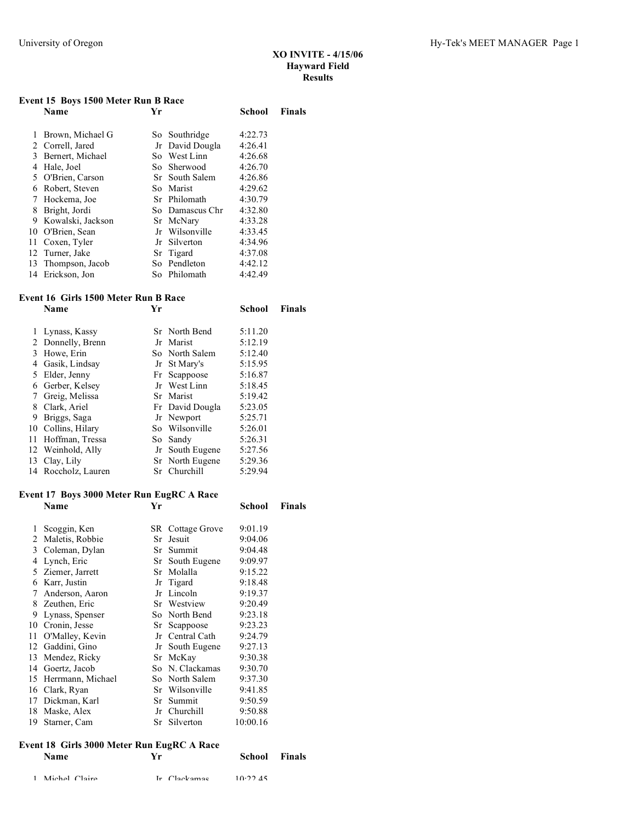## **Event 15 Boys 1500 Meter Run B Race**

|    | vent is boys isuu meter kun b kace |    |                 |         |               |  |  |  |  |
|----|------------------------------------|----|-----------------|---------|---------------|--|--|--|--|
|    | <b>Name</b>                        | Yr |                 | School  | <b>Finals</b> |  |  |  |  |
|    | Brown, Michael G                   |    | So Southridge   | 4:22.73 |               |  |  |  |  |
| 2  | Correll, Jared                     |    | Jr David Dougla | 4:26.41 |               |  |  |  |  |
| 3  | Bernert, Michael                   |    | So West Linn    | 4:26.68 |               |  |  |  |  |
| 4  | Hale, Joel                         |    | So Sherwood     | 4:26.70 |               |  |  |  |  |
| 5. | O'Brien, Carson                    |    | Sr South Salem  | 4:26.86 |               |  |  |  |  |
| 6  | Robert, Steven                     |    | So Marist       | 4:29.62 |               |  |  |  |  |
| 7  | Hockema, Joe                       |    | Sr Philomath    | 4:30.79 |               |  |  |  |  |
| 8  | Bright, Jordi                      |    | So Damascus Chr | 4:32.80 |               |  |  |  |  |
| 9  | Kowalski, Jackson                  |    | Sr McNary       | 4:33.28 |               |  |  |  |  |
| 10 | O'Brien, Sean                      |    | Jr Wilsonville  | 4:33.45 |               |  |  |  |  |
| 11 | Coxen, Tyler                       |    | Jr Silverton    | 4:34.96 |               |  |  |  |  |
|    | 12 Turner, Jake                    |    | Sr Tigard       | 4:37.08 |               |  |  |  |  |
|    | 13 Thompson, Jacob                 |    | So Pendleton    | 4:42.12 |               |  |  |  |  |
|    | 14 Erickson, Jon                   |    | So Philomath    | 4:42.49 |               |  |  |  |  |

## **Event 16 Girls 1500 Meter Run B Race**

|    | <u>SHIS TOOG MEEGH IGHI B IGHCC</u><br><b>Name</b> | Yr |                 | School  | <b>Finals</b> |
|----|----------------------------------------------------|----|-----------------|---------|---------------|
|    | 1 Lynass, Kassy                                    |    | Sr North Bend   | 5:11.20 |               |
|    | 2 Donnelly, Brenn                                  |    | Jr Marist       | 5:12.19 |               |
| 3  | Howe, Erin                                         |    | So North Salem  | 5:12.40 |               |
| 4  | Gasik, Lindsay                                     |    | Jr St Mary's    | 5:15.95 |               |
|    | 5 Elder, Jenny                                     |    | Fr Scappoose    | 5:16.87 |               |
|    | 6 Gerber, Kelsey                                   |    | Jr West Linn    | 5:18.45 |               |
|    | 7 Greig, Melissa                                   |    | Sr Marist       | 5:19.42 |               |
|    | 8 Clark, Ariel                                     |    | Fr David Dougla | 5:23.05 |               |
| 9  | Briggs, Saga                                       |    | Jr Newport      | 5:25.71 |               |
|    | 10 Collins, Hilary                                 |    | So Wilsonville  | 5:26.01 |               |
| 11 | Hoffman, Tressa                                    |    | So Sandy        | 5:26.31 |               |
|    | 12 Weinhold, Ally                                  |    | Jr South Eugene | 5:27.56 |               |
|    | 13 Clay, Lily                                      |    | Sr North Eugene | 5:29.36 |               |
|    | 14 Roccholz, Lauren                                |    | Sr Churchill    | 5:29.94 |               |

## **Event 17 Boys 3000 Meter Run EugRC A Race**

|    | $\frac{1}{2}$<br>Name | Yr |                         | School   | <b>Finals</b> |
|----|-----------------------|----|-------------------------|----------|---------------|
| 1  | Scoggin, Ken          |    | <b>SR</b> Cottage Grove | 9:01.19  |               |
| 2  | Maletis, Robbie       |    | Sr Jesuit               | 9:04.06  |               |
|    | 3 Coleman, Dylan      |    | Sr Summit               | 9:04.48  |               |
| 4  | Lynch, Eric           |    | Sr South Eugene         | 9:09.97  |               |
|    | 5 Ziemer, Jarrett     |    | Sr Molalla              | 9:15.22  |               |
| 6  | Karr, Justin          |    | Jr Tigard               | 9:18.48  |               |
| 7  | Anderson, Aaron       |    | Jr Lincoln              | 9:19.37  |               |
| 8  | Zeuthen, Eric         |    | Sr Westview             | 9:20.49  |               |
| 9  | Lynass, Spenser       |    | So North Bend           | 9:23.18  |               |
|    | 10 Cronin, Jesse      |    | Sr Scappoose            | 9:23.23  |               |
| 11 | O'Malley, Kevin       |    | Jr Central Cath         | 9:24.79  |               |
| 12 | Gaddini, Gino         |    | Jr South Eugene         | 9:27.13  |               |
| 13 | Mendez, Ricky         |    | Sr McKay                | 9:30.38  |               |
| 14 | Goertz, Jacob         |    | So N. Clackamas         | 9:30.70  |               |
| 15 | Herrmann, Michael     |    | So North Salem          | 9:37.30  |               |
| 16 | Clark, Ryan           |    | Sr Wilsonville          | 9:41.85  |               |
| 17 | Dickman, Karl         |    | Sr Summit               | 9:50.59  |               |
| 18 | Maske, Alex           |    | Jr Churchill            | 9:50.88  |               |
| 19 | Starner, Cam          |    | Sr Silverton            | 10:00.16 |               |

## **Event 18 Girls 3000 Meter Run EugRC A Race**

| <b>Name</b>     | Vr.          | <b>School</b> Finals |  |
|-----------------|--------------|----------------------|--|
| 1 Michel Claire | Ir Clackamas | 10.2245              |  |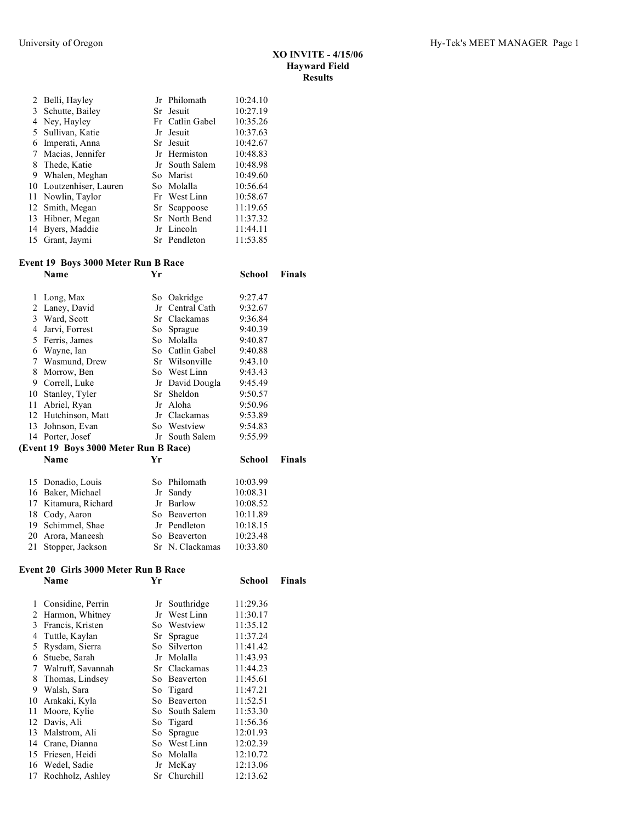|   | 2 Belli, Hayley         | Jr Philomath    | 10:24.10 |
|---|-------------------------|-----------------|----------|
| 3 | Schutte, Bailey         | Sr Jesuit       | 10:27.19 |
| 4 | Ney, Hayley             | Fr Catlin Gabel | 10:35.26 |
|   | 5 Sullivan, Katie       | Jr Jesuit       | 10:37.63 |
| 6 | Imperati, Anna          | Sr Jesuit       | 10:42.67 |
| 7 | Macias, Jennifer        | Jr Hermiston    | 10:48.83 |
| 8 | Thede, Katie            | Jr South Salem  | 10:48.98 |
| 9 | Whalen, Meghan          | So Marist       | 10:49.60 |
|   | 10 Loutzenhiser, Lauren | So Molalla      | 10:56.64 |
|   | 11 Nowlin, Taylor       | Fr West Linn    | 10:58.67 |
|   | 12 Smith, Megan         | Sr Scappoose    | 11:19.65 |
|   | 13 Hibner, Megan        | Sr North Bend   | 11:37.32 |
|   | 14 Byers, Maddie        | Jr Lincoln      | 11:44.11 |
|   | 15 Grant, Jaymi         | Sr Pendleton    | 11:53.85 |

## **Event 19 Boys 3000 Meter Run B Race**

|    | Event 19 Boys 3000 Meter Run B Race   |    |                 |          |               |
|----|---------------------------------------|----|-----------------|----------|---------------|
|    | Name                                  | Yr |                 | School   | <b>Finals</b> |
| 1  | Long, Max                             |    | So Oakridge     | 9:27.47  |               |
| 2  | Laney, David                          |    | Jr Central Cath | 9:32.67  |               |
|    | 3 Ward, Scott                         |    | Sr Clackamas    | 9:36.84  |               |
| 4  | Jarvi, Forrest                        |    | So Sprague      | 9:40.39  |               |
| 5  | Ferris, James                         |    | So Molalla      | 9:40.87  |               |
| 6  | Wayne, Ian                            |    | So Catlin Gabel | 9:40.88  |               |
| 7  | Wasmund, Drew                         |    | Sr Wilsonville  | 9:43.10  |               |
| 8  | Morrow, Ben                           |    | So West Linn    | 9:43.43  |               |
| 9  | Correll, Luke                         |    | Jr David Dougla | 9:45.49  |               |
| 10 | Stanley, Tyler                        |    | Sr Sheldon      | 9:50.57  |               |
| 11 | Abriel, Ryan                          |    | Jr Aloha        | 9:50.96  |               |
|    | 12 Hutchinson, Matt                   |    | Jr Clackamas    | 9:53.89  |               |
| 13 | Johnson, Evan                         |    | So Westview     | 9:54.83  |               |
|    | 14 Porter, Josef                      |    | Jr South Salem  | 9:55.99  |               |
|    | (Event 19 Boys 3000 Meter Run B Race) |    |                 |          |               |
|    | Name                                  | Yr |                 | School   | <b>Finals</b> |
| 15 | Donadio, Louis                        |    | So Philomath    | 10:03.99 |               |
| 16 | Baker, Michael                        | Jr | Sandy           | 10:08.31 |               |
| 17 | Kitamura, Richard                     |    | Jr Barlow       | 10:08.52 |               |
| 18 | Cody, Aaron                           |    | So Beaverton    | 10:11.89 |               |
| 19 | Schimmel, Shae                        |    | Jr Pendleton    | 10:18.15 |               |
| 20 | Arora, Maneesh                        |    | So Beaverton    | 10:23.48 |               |
| 21 | Stopper, Jackson                      |    | Sr N. Clackamas | 10:33.80 |               |

## **Event 20 Girls 3000 Meter Run B Race**

|    | <b>SHIP COOP MIGHT IN THE D'AMERI</b> |    |                |          |        |  |  |  |
|----|---------------------------------------|----|----------------|----------|--------|--|--|--|
|    | Name                                  | Yr |                | School   | Finals |  |  |  |
| 1  | Considine, Perrin                     |    | Jr Southridge  | 11:29.36 |        |  |  |  |
| 2  | Harmon, Whitney                       |    | Jr West Linn   | 11:30.17 |        |  |  |  |
| 3  | Francis, Kristen                      |    | So Westview    | 11:35.12 |        |  |  |  |
| 4  | Tuttle, Kaylan                        |    | Sr Sprague     | 11:37.24 |        |  |  |  |
| 5  | Rysdam, Sierra                        |    | So Silverton   | 11:41.42 |        |  |  |  |
| 6  | Stuebe, Sarah                         |    | Jr Molalla     | 11:43.93 |        |  |  |  |
| 7  | Walruff, Savannah                     |    | Sr Clackamas   | 11:44.23 |        |  |  |  |
| 8  | Thomas, Lindsey                       |    | So Beaverton   | 11:45.61 |        |  |  |  |
| 9  | Walsh, Sara                           |    | So Tigard      | 11:47.21 |        |  |  |  |
| 10 | Arakaki, Kyla                         | So | Beaverton      | 11:52.51 |        |  |  |  |
| 11 | Moore, Kylie                          |    | So South Salem | 11:53.30 |        |  |  |  |
|    | 12 Davis, Ali                         |    | So Tigard      | 11:56.36 |        |  |  |  |
|    | 13 Malstrom, Ali                      |    | So Sprague     | 12:01.93 |        |  |  |  |
| 14 | Crane, Dianna                         |    | So West Linn   | 12:02.39 |        |  |  |  |
| 15 | Friesen, Heidi                        |    | So Molalla     | 12:10.72 |        |  |  |  |
|    | 16 Wedel, Sadie                       |    | Jr McKay       | 12:13.06 |        |  |  |  |
|    | 17 Rochholz, Ashley                   |    | Sr Churchill   | 12:13.62 |        |  |  |  |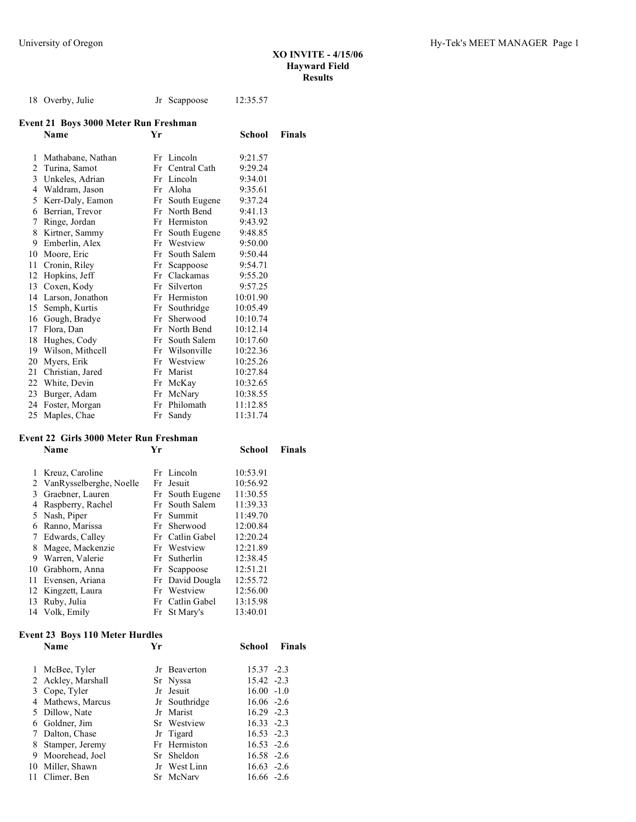|    | 18 Overby, Julie                      |    | Jr Scappoose    | 12:35.57 |        |
|----|---------------------------------------|----|-----------------|----------|--------|
|    | Event 21 Boys 3000 Meter Run Freshman |    |                 |          |        |
|    | <b>Name</b>                           | Yr |                 | School   | Finals |
| 1  | Mathabane, Nathan                     |    | Fr Lincoln      | 9:21.57  |        |
| 2  | Turina, Samot                         |    | Fr Central Cath | 9:29.24  |        |
| 3  | Unkeles, Adrian                       |    | Fr Lincoln      | 9:34.01  |        |
|    | 4 Waldram, Jason                      |    | Fr Aloha        | 9:35.61  |        |
| 5  | Kerr-Daly, Eamon                      |    | Fr South Eugene | 9:37.24  |        |
| 6  | Berrian, Trevor                       |    | Fr North Bend   | 9:41.13  |        |
| 7  | Ringe, Jordan                         |    | Fr Hermiston    | 9:43.92  |        |
| 8  | Kirtner, Sammy                        |    | Fr South Eugene | 9:48.85  |        |
| 9  | Emberlin, Alex                        |    | Fr Westview     | 9:50.00  |        |
| 10 | Moore, Eric                           | Fr | South Salem     | 9:50.44  |        |
| 11 | Cronin, Riley                         |    | Fr Scappoose    | 9:54.71  |        |
| 12 | Hopkins, Jeff                         | Fr | Clackamas       | 9:55.20  |        |
| 13 | Coxen, Kody                           |    | Fr Silverton    | 9:57.25  |        |
| 14 | Larson, Jonathon                      |    | Fr Hermiston    | 10:01.90 |        |
| 15 | Semph, Kurtis                         |    | Fr Southridge   | 10:05.49 |        |
| 16 | Gough, Bradye                         | Fr | Sherwood        | 10:10.74 |        |
| 17 | Flora, Dan                            |    | Fr North Bend   | 10:12.14 |        |
| 18 | Hughes, Cody                          | Fr | South Salem     | 10:17.60 |        |
| 19 | Wilson, Mithcell                      |    | Fr Wilsonville  | 10:22.36 |        |
| 20 | Myers, Erik                           |    | Fr Westview     | 10:25.26 |        |
| 21 | Christian, Jared                      |    | Fr Marist       | 10:27.84 |        |
| 22 | White, Devin                          |    | Fr McKay        | 10:32.65 |        |
| 23 | Burger, Adam                          | Fr | McNary          | 10:38.55 |        |
| 24 | Foster, Morgan                        |    | Fr Philomath    | 11:12.85 |        |
| 25 | Maples, Chae                          |    | Fr Sandy        | 11:31.74 |        |
|    |                                       |    |                 |          |        |

## **Event 22 Girls 3000 Meter Run Freshman**

|    | vent 22 - Girls 9000 bieter Tean-Freshman |    |                 |          |               |  |  |
|----|-------------------------------------------|----|-----------------|----------|---------------|--|--|
|    | Name                                      | Yr |                 | School   | <b>Finals</b> |  |  |
| 1  | Kreuz, Caroline                           |    | Fr Lincoln      | 10:53.91 |               |  |  |
|    | 2 VanRysselberghe, Noelle                 |    | Fr Jesuit       | 10:56.92 |               |  |  |
| 3  | Graebner, Lauren                          |    | Fr South Eugene | 11:30.55 |               |  |  |
| 4  | Raspberry, Rachel                         |    | Fr South Salem  | 11:39.33 |               |  |  |
| 5  | Nash, Piper                               |    | Fr Summit       | 11:49.70 |               |  |  |
| 6  | Ranno, Marissa                            |    | Fr Sherwood     | 12:00.84 |               |  |  |
| 7  | Edwards, Calley                           |    | Fr Catlin Gabel | 12:20.24 |               |  |  |
| 8  | Magee, Mackenzie                          |    | Fr Westview     | 12:21.89 |               |  |  |
| 9  | Warren, Valerie                           |    | Fr Sutherlin    | 12:38.45 |               |  |  |
|    | 10 Grabhorn, Anna                         |    | Fr Scappoose    | 12:51.21 |               |  |  |
| 11 | Evensen, Ariana                           |    | Fr David Dougla | 12:55.72 |               |  |  |
|    | 12 Kingzett, Laura                        |    | Fr Westview     | 12:56.00 |               |  |  |
| 13 | Ruby, Julia                               |    | Fr Catlin Gabel | 13:15.98 |               |  |  |
|    | 14 Volk, Emily                            |    | Fr St Mary's    | 13:40.01 |               |  |  |

# **Event 23 Boys 110 Meter Hurdles**

|    | $\cdots$ and $\cdots$ boys the meter manages |    |               |               |               |
|----|----------------------------------------------|----|---------------|---------------|---------------|
|    | Name                                         | Yr |               | School        | <b>Finals</b> |
|    | 1 McBee, Tyler                               |    | Jr Beaverton  | $15.37 -2.3$  |               |
|    | 2 Ackley, Marshall                           |    | Sr Nyssa      | 15.42 -2.3    |               |
|    | 3 Cope, Tyler                                |    | Jr Jesuit     | $16.00 - 1.0$ |               |
|    | 4 Mathews, Marcus                            |    | Jr Southridge | $16.06 -2.6$  |               |
|    | 5 Dillow, Nate                               |    | Jr Marist     | $16.29 - 2.3$ |               |
|    | 6 Goldner, Jim                               |    | Sr Westview   | $16.33 - 2.3$ |               |
|    | 7 Dalton, Chase                              |    | Jr Tigard     | $16.53 - 2.3$ |               |
|    | 8 Stamper, Jeremy                            |    | Fr Hermiston  | $16.53 - 2.6$ |               |
| 9. | Moorehead, Joel                              |    | Sr Sheldon    | $16.58 - 2.6$ |               |
|    | 10 Miller, Shawn                             |    | Jr West Linn  | $16.63 - 2.6$ |               |
|    | 11 Climer. Ben                               |    | Sr McNary     | $16.66 - 2.6$ |               |
|    |                                              |    |               |               |               |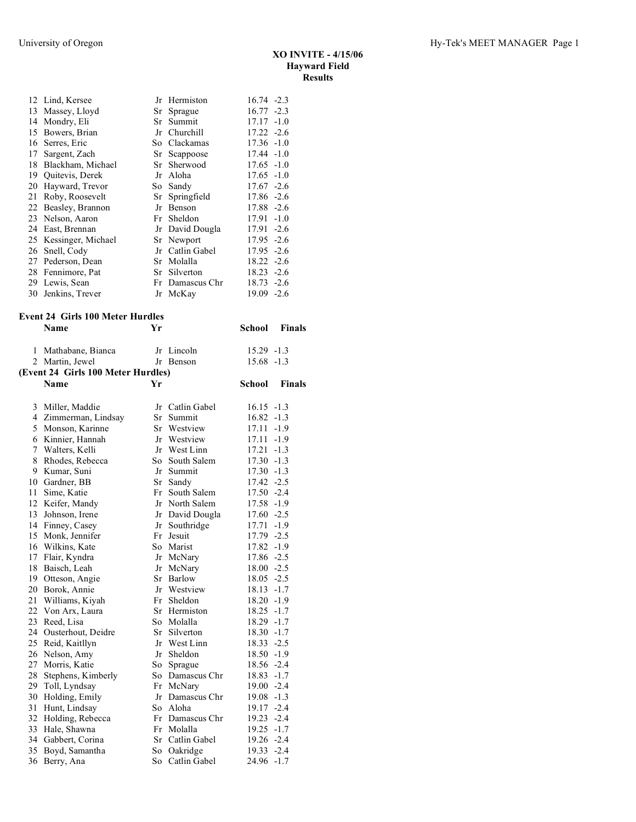**School Finals** 

|    | 12 Lind, Kersee    |    | Jr Hermiston    | $16.74 - 2.3$   |
|----|--------------------|----|-----------------|-----------------|
| 13 | Massey, Lloyd      |    | Sr Sprague      | $16.77 - 2.3$   |
| 14 | Mondry, Eli        |    | Sr Summit       | $17.17 - 1.0$   |
| 15 | Bowers, Brian      |    | Jr Churchill    | $17.22 - 2.6$   |
|    | 16 Serres, Eric    |    | So Clackamas    | $17.36 - 1.0$   |
| 17 | Sargent, Zach      |    | Sr Scappoose    | $17.44 - 1.0$   |
| 18 | Blackham, Michael  |    | Sr Sherwood     | $17.65 - 1.0$   |
| 19 | Quitevis, Derek    | Jr | Aloha           | $17.65 - 1.0$   |
| 20 | Hayward, Trevor    |    | So Sandy        | $17.67 - 2.6$   |
| 21 | Roby, Roosevelt    |    | Sr Springfield  | 17.86 -2.6      |
| 22 | Beasley, Brannon   |    | Jr Benson       | 17.88 -2.6      |
| 23 | Nelson, Aaron      |    | Fr Sheldon      | 17.91<br>$-1.0$ |
| 24 | East, Brennan      |    | Jr David Dougla | 17.91<br>$-2.6$ |
| 25 | Kessinger, Michael |    | Sr Newport      | $17.95 - 2.6$   |
| 26 | Snell, Cody        |    | Jr Catlin Gabel | 17.95<br>$-2.6$ |
| 27 | Pederson, Dean     |    | Sr Molalla      | $18.22 - 2.6$   |
|    | 28 Fennimore, Pat  |    | Sr Silverton    | 18.23<br>$-2.6$ |
|    | 29 Lewis, Sean     |    | Fr Damascus Chr | $18.73 - 2.6$   |
| 30 | Jenkins, Trever    |    | Jr McKay        | $-2.6$<br>19.09 |
|    |                    |    |                 |                 |

# **Event 24 Girls 100 Meter Hurdles**

| 1              | Mathabane, Bianca                  |    | Jr Lincoln      | $15.29 - 1.3$ |               |
|----------------|------------------------------------|----|-----------------|---------------|---------------|
|                | 2 Martin, Jewel                    |    | Jr Benson       | $15.68 - 1.3$ |               |
|                | (Event 24 Girls 100 Meter Hurdles) |    |                 |               |               |
|                | Name                               | Yr |                 | <b>School</b> | <b>Finals</b> |
|                |                                    |    |                 |               |               |
| 3              | Miller, Maddie                     | Jr | Catlin Gabel    | $16.15 - 1.3$ |               |
| $\overline{4}$ | Zimmerman, Lindsay                 | Sr | Summit          | 16.82         | $-1.3$        |
| 5              | Monson, Karinne                    |    | Sr Westview     | 17.11         | $-1.9$        |
|                | 6 Kinnier, Hannah                  |    | Jr Westview     | 17.11         | $-1.9$        |
| $\tau$         | Walters, Kelli                     |    | Jr West Linn    | 17.21         | $-1.3$        |
| 8              | Rhodes, Rebecca                    |    | So South Salem  | $17.30 - 1.3$ |               |
| 9              | Kumar, Suni                        |    | Jr Summit       | $17.30 - 1.3$ |               |
| 10             | Gardner, BB                        |    | Sr Sandy        | 17.42 -2.5    |               |
| 11             | Sime, Katie                        | Fr | South Salem     | $17.50 -2.4$  |               |
| 12             | Keifer, Mandy                      |    | Jr North Salem  | 17.58 -1.9    |               |
| 13             | Johnson, Irene                     |    | Jr David Dougla | $17.60 -2.5$  |               |
| 14             | Finney, Casey                      |    | Jr Southridge   | 17.71         | $-1.9$        |
| 15             | Monk, Jennifer                     |    | Fr Jesuit       | 17.79 -2.5    |               |
| 16             | Wilkins, Kate                      |    | So Marist       | $17.82 - 1.9$ |               |
| 17             | Flair, Kyndra                      |    | Jr McNary       | 17.86 -2.5    |               |
| 18             | Baisch, Leah                       |    | Jr McNary       | $18.00 -2.5$  |               |
| 19             | Otteson, Angie                     |    | Sr Barlow       | $18.05 -2.5$  |               |
| 20             | Borok, Annie                       |    | Jr Westview     | $18.13 - 1.7$ |               |
| 21             | Williams, Kiyah                    |    | Fr Sheldon      | $18.20 - 1.9$ |               |
| 22             | Von Arx, Laura                     |    | Sr Hermiston    | $18.25 - 1.7$ |               |
| 23             | Reed, Lisa                         |    | So Molalla      | $18.29 - 1.7$ |               |
| 24             | Ousterhout, Deidre                 |    | Sr Silverton    | $18.30 - 1.7$ |               |
| 25             | Reid, Kaitllyn                     |    | Jr West Linn    | $18.33 - 2.5$ |               |
| 26             | Nelson, Amy                        | Jr | Sheldon         | 18.50 -1.9    |               |
| 27             | Morris, Katie                      | So | Sprague         | 18.56 -2.4    |               |
| 28             | Stephens, Kimberly                 |    | So Damascus Chr | $18.83 - 1.7$ |               |
| 29             | Toll, Lyndsay                      |    | Fr McNary       | $19.00 -2.4$  |               |
| 30             | Holding, Emily                     | Jr | Damascus Chr    | $19.08 - 1.3$ |               |
| 31             | Hunt, Lindsay                      |    | So Aloha        | 19.17 -2.4    |               |
| 32             | Holding, Rebecca                   |    | Fr Damascus Chr | 19.23 -2.4    |               |
| 33             | Hale, Shawna                       |    | Fr Molalla      | $19.25 - 1.7$ |               |
| 34             | Gabbert, Corina                    |    | Sr Catlin Gabel | $19.26 -2.4$  |               |
| 35             | Boyd, Samantha                     | So | Oakridge        | 19.33 -2.4    |               |
| 36             | Berry, Ana                         | So | Catlin Gabel    | 24.96         | $-1.7$        |
|                |                                    |    |                 |               |               |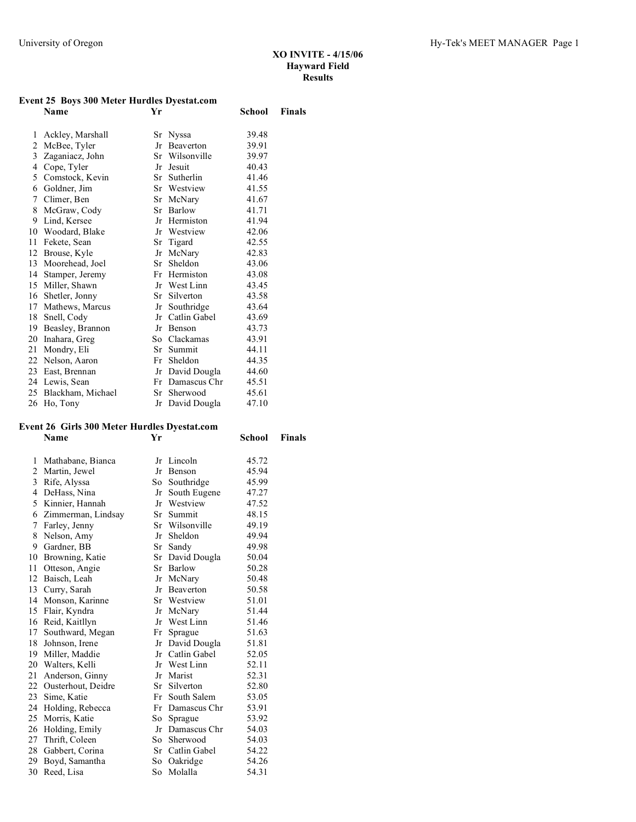## **Event 25 Boys 300 Meter Hurdles Dyestat.com**

|    | Name              | Yr |                | School | Finals |
|----|-------------------|----|----------------|--------|--------|
| 1  | Ackley, Marshall  |    | Sr Nyssa       | 39.48  |        |
| 2  | McBee, Tyler      | Jr | Beaverton      | 39.91  |        |
| 3  | Zaganiacz, John   |    | Sr Wilsonville | 39.97  |        |
| 4  | Cope, Tyler       | Jr | Jesuit         | 40.43  |        |
| 5  | Comstock, Kevin   |    | Sr Sutherlin   | 41.46  |        |
| 6  | Goldner, Jim      |    | Sr Westview    | 41.55  |        |
| 7  | Climer, Ben       | Sr | McNary         | 41.67  |        |
| 8  | McGraw, Cody      |    | Sr Barlow      | 41.71  |        |
| 9  | Lind, Kersee      | Jr | Hermiston      | 41.94  |        |
| 10 | Woodard, Blake    | Jr | Westview       | 42.06  |        |
| 11 | Fekete, Sean      |    | Sr Tigard      | 42.55  |        |
| 12 | Brouse, Kyle      | Jr | McNary         | 42.83  |        |
| 13 | Moorehead, Joel   | Sr | Sheldon        | 43.06  |        |
| 14 | Stamper, Jeremy   | Fr | Hermiston      | 43.08  |        |
| 15 | Miller, Shawn     | Jr | West Linn      | 43.45  |        |
| 16 | Shetler, Jonny    |    | Sr Silverton   | 43.58  |        |
| 17 | Mathews, Marcus   | Jr | Southridge     | 43.64  |        |
| 18 | Snell, Cody       | Jr | Catlin Gabel   | 43.69  |        |
| 19 | Beasley, Brannon  | Jr | Benson         | 43.73  |        |
| 20 | Inahara, Greg     |    | So Clackamas   | 43.91  |        |
| 21 | Mondry, Eli       | Sr | Summit         | 44.11  |        |
| 22 | Nelson, Aaron     | Fr | Sheldon        | 44.35  |        |
| 23 | East, Brennan     | Jr | David Dougla   | 44.60  |        |
|    | 24 Lewis, Sean    | Fr | Damascus Chr   | 45.51  |        |
| 25 | Blackham, Michael | Sr | Sherwood       | 45.61  |        |
| 26 | Ho, Tony          | Jr | David Dougla   | 47.10  |        |

# **Event 26 Girls 300 Meter Hurdles Dyestat.com**

|    | Name                  | Yr   |                 | School | <b>Finals</b> |
|----|-----------------------|------|-----------------|--------|---------------|
| 1  | Mathabane, Bianca     |      | Jr Lincoln      | 45.72  |               |
|    | 2 Martin, Jewel       |      | Jr Benson       | 45.94  |               |
| 3  | Rife, Alyssa          | So - | Southridge      | 45.99  |               |
| 4  | DeHass, Nina          | Jr   | South Eugene    | 47.27  |               |
|    | 5 Kinnier, Hannah     |      | Jr Westview     | 47.52  |               |
| 6  | Zimmerman, Lindsay    | Sr   | Summit          | 48.15  |               |
| 7  | Farley, Jenny         |      | Sr Wilsonville  | 49.19  |               |
| 8  | Nelson, Amy           |      | Jr Sheldon      | 49.94  |               |
| 9  | Gardner, BB           |      | Sr Sandy        | 49.98  |               |
| 10 | Browning, Katie       |      | Sr David Dougla | 50.04  |               |
| 11 | Otteson, Angie        |      | Sr Barlow       | 50.28  |               |
|    | 12 Baisch, Leah       |      | Jr McNary       | 50.48  |               |
| 13 | Curry, Sarah          |      | Jr Beaverton    | 50.58  |               |
|    | 14 Monson, Karinne    |      | Sr Westview     | 51.01  |               |
|    | 15 Flair, Kyndra      |      | Jr McNary       | 51.44  |               |
| 16 | Reid, Kaitllyn        |      | Jr West Linn    | 51.46  |               |
| 17 | Southward, Megan      | Fr   | Sprague         | 51.63  |               |
|    | 18 Johnson, Irene     |      | Jr David Dougla | 51.81  |               |
|    | 19 Miller, Maddie     |      | Jr Catlin Gabel | 52.05  |               |
| 20 | Walters, Kelli        |      | Jr West Linn    | 52.11  |               |
| 21 | Anderson, Ginny       |      | Jr Marist       | 52.31  |               |
|    | 22 Ousterhout, Deidre |      | Sr Silverton    | 52.80  |               |
|    | 23 Sime, Katie        | Fr   | South Salem     | 53.05  |               |
|    | 24 Holding, Rebecca   |      | Fr Damascus Chr | 53.91  |               |
|    | 25 Morris, Katie      |      | So Sprague      | 53.92  |               |
| 26 | Holding, Emily        | Jr   | Damascus Chr    | 54.03  |               |
| 27 | Thrift, Coleen        | So - | Sherwood        | 54.03  |               |
|    | 28 Gabbert, Corina    |      | Sr Catlin Gabel | 54.22  |               |
|    | 29 Boyd, Samantha     | So   | Oakridge        | 54.26  |               |
|    | 30 Reed, Lisa         |      | So Molalla      | 54.31  |               |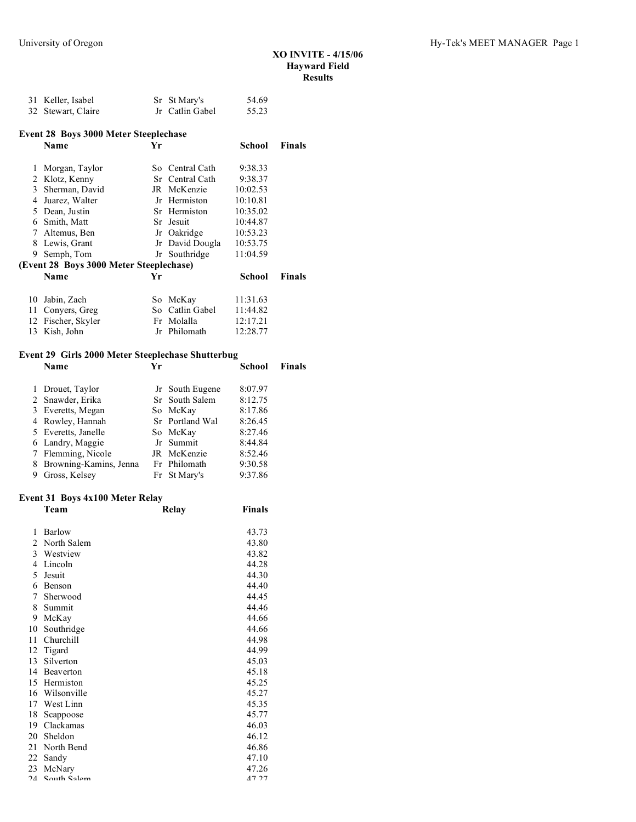|    | 31 Keller, Isabel                            |    | Sr St Mary's    | 54.69    |               |
|----|----------------------------------------------|----|-----------------|----------|---------------|
|    | 32 Stewart, Claire                           |    | Jr Catlin Gabel | 55.23    |               |
|    | <b>Event 28 Boys 3000 Meter Steeplechase</b> |    |                 |          |               |
|    | Name                                         | Yr |                 | School   | Finals        |
| 1  | Morgan, Taylor                               |    | So Central Cath | 9:38.33  |               |
| 2  | Klotz, Kenny                                 |    | Sr Central Cath | 9:38.37  |               |
| 3  | Sherman, David                               |    | JR McKenzie     | 10:02.53 |               |
| 4  | Juarez, Walter                               |    | Jr Hermiston    | 10:10.81 |               |
| 5  | Dean, Justin                                 |    | Sr Hermiston    | 10:35.02 |               |
| 6  | Smith, Matt                                  |    | Sr Jesuit       | 10:44.87 |               |
| 7  | Altemus, Ben                                 |    | Jr Oakridge     | 10:53.23 |               |
| 8  | Lewis, Grant                                 |    | Jr David Dougla | 10:53.75 |               |
| 9  | Semph, Tom                                   |    | Jr Southridge   | 11:04.59 |               |
|    | (Event 28 Boys 3000 Meter Steeplechase)      |    |                 |          |               |
|    | Name                                         | Yr |                 | School   | <b>Finals</b> |
| 10 | Jabin, Zach                                  |    | So McKay        | 11:31.63 |               |
| 11 | Convers, Greg                                |    | So Catlin Gabel | 11:44.82 |               |
| 12 | Fischer, Skyler                              |    | Fr Molalla      | 12:17.21 |               |
| 13 | Kish, John                                   |    | Jr Philomath    | 12:28.77 |               |
|    |                                              |    |                 |          |               |

#### **Event 29 Girls 2000 Meter Steeplechase Shutterbug**

| Name                     | Yг |                 | School  | Finals |
|--------------------------|----|-----------------|---------|--------|
| 1 Drouet, Taylor         |    | Jr South Eugene | 8:07.97 |        |
| 2 Snawder, Erika         |    | Sr South Salem  | 8:12.75 |        |
| 3 Everetts, Megan        |    | So McKay        | 8:17.86 |        |
| 4 Rowley, Hannah         |    | Sr Portland Wal | 8:26.45 |        |
| 5 Everetts, Janelle      |    | So McKay        | 8:27.46 |        |
| 6 Landry, Maggie         |    | Jr Summit       | 8:44.84 |        |
| 7 Flemming, Nicole       |    | JR McKenzie     | 8:52.46 |        |
| 8 Browning-Kamins, Jenna |    | Fr Philomath    | 9:30.58 |        |
| Gross, Kelsey            |    | Fr St Mary's    | 9:37.86 |        |

## **Event 31 Boys 4x100 Meter Relay**

|        | $\mathbf{u} \cdot \mathbf{v} \cdot \mathbf{v}$<br>TATOO MEULU TUUHT |       |               |
|--------|---------------------------------------------------------------------|-------|---------------|
|        | Team                                                                | Relay | <b>Finals</b> |
| 1      | Barlow                                                              |       | 43.73         |
| 2      | North Salem                                                         |       | 43.80         |
| 3      | Westview                                                            |       | 43.82         |
| 4      | Lincoln                                                             |       | 44.28         |
| 5      | Jesuit                                                              |       | 44.30         |
| 6      | Benson                                                              |       | 44.40         |
| 7      | Sherwood                                                            |       | 44.45         |
| 8      | Summit                                                              |       | 44.46         |
| 9      | McKay                                                               |       | 44.66         |
| 10     | Southridge                                                          |       | 44.66         |
| 11     | Churchill                                                           |       | 44.98         |
| 12     | Tigard                                                              |       | 44.99         |
| 13     | Silverton                                                           |       | 45.03         |
| 14     | Beaverton                                                           |       | 45.18         |
| 15     | Hermiston                                                           |       | 45.25         |
| 16     | Wilsonville                                                         |       | 45.27         |
| 17     | West Linn                                                           |       | 45.35         |
| 18     | Scappoose                                                           |       | 45.77         |
| 19     | Clackamas                                                           |       | 46.03         |
| 20     | Sheldon                                                             |       | 46.12         |
| 21     | North Bend                                                          |       | 46.86         |
| 22     | Sandy                                                               |       | 47.10         |
| 23     | McNary                                                              |       | 47.26         |
| $2\pi$ | $\Omega$ <sub>Outh</sub> $\Omega$ <sub>lem</sub>                    |       | 17.27         |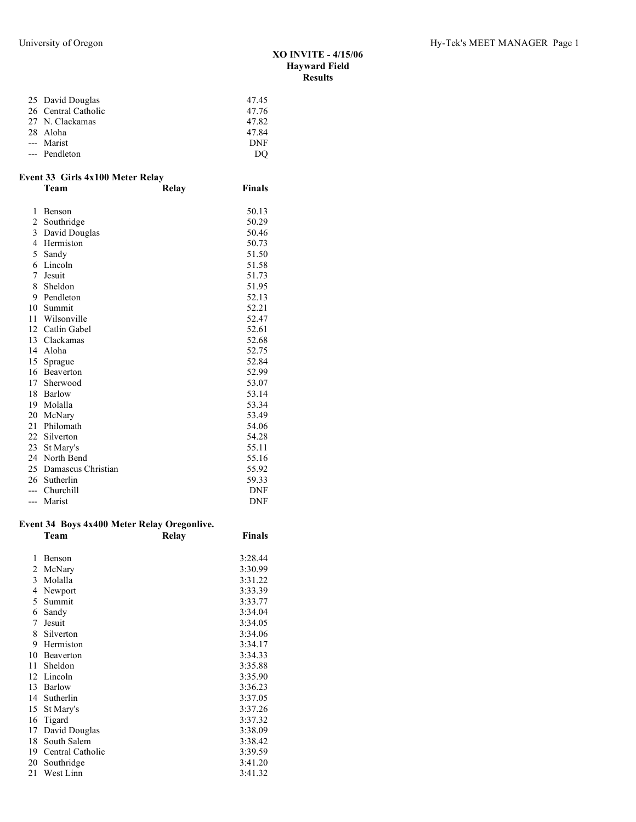| 25 David Douglas    | 47.45      |
|---------------------|------------|
| 26 Central Catholic | 47.76      |
| 27 N. Clackamas     | 47.82      |
| 28 Aloha            | 47.84      |
| --- Marist          | <b>DNF</b> |
| --- Pendleton       | DO         |

## **Event 33 Girls 4x100 Meter Relay**

|                | Team               | <b>Relay</b> | <b>Finals</b> |
|----------------|--------------------|--------------|---------------|
| 1              | Benson             |              | 50.13         |
| $\overline{c}$ | Southridge         |              | 50.29         |
| 3              | David Douglas      |              | 50.46         |
| 4              | Hermiston          |              | 50.73         |
| 5              | Sandy              |              | 51.50         |
| 6              | Lincoln            |              | 51.58         |
| 7              | Jesuit             |              | 51.73         |
| 8              | Sheldon            |              | 51.95         |
| 9              | Pendleton          |              | 52.13         |
| 10             | Summit             |              | 52.21         |
| 11             | Wilsonville        |              | 52.47         |
| 12             | Catlin Gabel       |              | 52.61         |
| 13             | Clackamas          |              | 52.68         |
| 14             | Aloha              |              | 52.75         |
| 15             | Sprague            |              | 52.84         |
| 16             | Beaverton          |              | 52.99         |
| 17             | Sherwood           |              | 53.07         |
| 18             | Barlow             |              | 53.14         |
| 19             | Molalla            |              | 53.34         |
| 20             | McNary             |              | 53.49         |
| 21             | Philomath          |              | 54.06         |
| 22             | Silverton          |              | 54.28         |
| 23             | St Mary's          |              | 55.11         |
| 24             | North Bend         |              | 55.16         |
| 25             | Damascus Christian |              | 55.92         |
| 26             | Sutherlin          |              | 59.33         |
|                | Churchill          |              | DNF           |
| ---            | Marist             |              | <b>DNF</b>    |

#### **Event 34 Boys 4x400 Meter Relay Oregonlive.**

|    | Team             | Relay | <b>Finals</b> |
|----|------------------|-------|---------------|
|    |                  |       |               |
| 1  | Benson           |       | 3:28.44       |
| 2  | McNary           |       | 3:30.99       |
| 3  | Molalla          |       | 3:31.22       |
| 4  | Newport          |       | 3:33.39       |
| 5  | Summit           |       | 3:33.77       |
| 6  | Sandy            |       | 3:34.04       |
| 7  | Jesuit           |       | 3:34.05       |
| 8  | Silverton        |       | 3:34.06       |
| 9  | Hermiston        |       | 3:34.17       |
| 10 | Beaverton        |       | 3:34.33       |
| 11 | Sheldon          |       | 3:35.88       |
| 12 | Lincoln          |       | 3:35.90       |
| 13 | Barlow           |       | 3:36.23       |
| 14 | Sutherlin        |       | 3:37.05       |
| 15 | St Mary's        |       | 3:37.26       |
| 16 | Tigard           |       | 3:37.32       |
| 17 | David Douglas    |       | 3:38.09       |
| 18 | South Salem      |       | 3:38.42       |
| 19 | Central Catholic |       | 3:39.59       |
| 20 | Southridge       |       | 3:41.20       |
| 21 | West Linn        |       | 3:41.32       |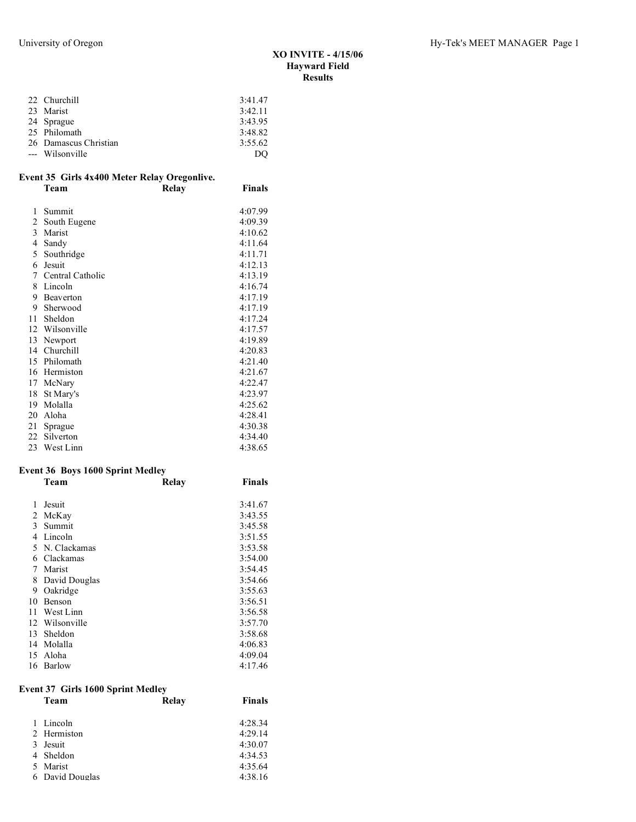| 22 Churchill          | 3:41.47 |
|-----------------------|---------|
| 23 Marist             | 3:42.11 |
| 24 Sprague            | 3:43.95 |
| 25 Philomath          | 3:48.82 |
| 26 Damascus Christian | 3:55.62 |
| --- Wilsonville       | DO      |
|                       |         |

### **Event 35 Girls 4x400 Meter Relay Oregonlive. Team Relay Finals**

| 1  | Summit           | 4:07.99 |
|----|------------------|---------|
| 2  | South Eugene     | 4:09.39 |
| 3  | Marist           | 4:10.62 |
| 4  | Sandy            | 4:11.64 |
| 5  | Southridge       | 4:11.71 |
| 6  | Jesuit           | 4:12.13 |
| 7  | Central Catholic | 4:13.19 |
| 8  | Lincoln          | 4:16.74 |
| 9  | Beaverton        | 4:17.19 |
| 9  | Sherwood         | 4:17.19 |
| 11 | Sheldon          | 4:17.24 |
| 12 | Wilsonville      | 4:17.57 |
| 13 | Newport          | 4:19.89 |
| 14 | Churchill        | 4:20.83 |
| 15 | Philomath        | 4:21.40 |
| 16 | Hermiston        | 4:21.67 |
| 17 | McNary           | 4:22.47 |
| 18 | St Mary's        | 4:23.97 |
| 19 | Molalla          | 4:25.62 |
| 20 | Aloha            | 4:28.41 |
| 21 | Sprague          | 4:30.38 |
| 22 | Silverton        | 4:34.40 |
|    | 23 West Linn     | 4:38.65 |

## **Event 36 Boys 1600 Sprint Medley**

|    | Team          | Relay | <b>Finals</b> |
|----|---------------|-------|---------------|
|    |               |       |               |
| 1  | Jesuit        |       | 3:41.67       |
| 2  | McKay         |       | 3:43.55       |
| 3  | Summit        |       | 3:45.58       |
| 4  | Lincoln       |       | 3:51.55       |
| 5  | N. Clackamas  |       | 3:53.58       |
| 6  | Clackamas     |       | 3:54.00       |
| 7  | Marist        |       | 3:54.45       |
| 8  | David Douglas |       | 3:54.66       |
| 9  | Oakridge      |       | 3:55.63       |
| 10 | Benson        |       | 3:56.51       |
| 11 | West Linn     |       | 3:56.58       |
| 12 | Wilsonville   |       | 3:57.70       |
| 13 | Sheldon       |       | 3:58.68       |
| 14 | Molalla       |       | 4:06.83       |
| 15 | Aloha         |       | 4:09.04       |
| 16 | Barlow        |       | 4:17.46       |

## **Event 37 Girls 1600 Sprint Medley**

| Team            | <b>Relay</b> | <b>Finals</b> |
|-----------------|--------------|---------------|
|                 |              |               |
| 1 Lincoln       |              | 4:28.34       |
| 2 Hermiston     |              | 4:29.14       |
| 3 Jesuit        |              | 4:30.07       |
| 4 Sheldon       |              | 4:34.53       |
| 5 Marist        |              | 4:35.64       |
| 6 David Douglas |              | 4:38.16       |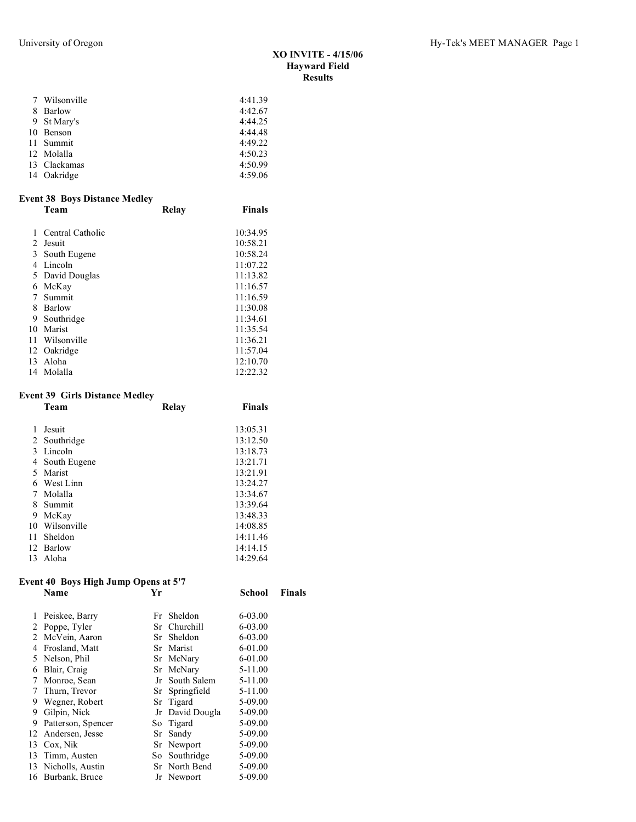| 7 Wilsonville | 4:41.39 |
|---------------|---------|
| 8 Barlow      | 4:42.67 |
| 9 St Mary's   | 4:44.25 |
| 10 Benson     | 4:44.48 |
| 11 Summit     | 4:49.22 |
| 12 Molalla    | 4:50.23 |
| 13 Clackamas  | 4:50.99 |
| 14 Oakridge   | 4:59.06 |

## **Event 38 Boys Distance Medley**

|    | Team             | Relay | <b>Finals</b> |
|----|------------------|-------|---------------|
|    |                  |       |               |
|    | Central Catholic |       | 10:34.95      |
| 2  | Jesuit           |       | 10:58.21      |
| 3  | South Eugene     |       | 10:58.24      |
| 4  | Lincoln          |       | 11:07.22      |
|    | 5 David Douglas  |       | 11:13.82      |
| 6  | McKay            |       | 11:16.57      |
|    | Summit           |       | 11:16.59      |
| 8  | Barlow           |       | 11:30.08      |
| 9  | Southridge       |       | 11:34.61      |
| 10 | Marist           |       | 11:35.54      |
| 11 | Wilsonville      |       | 11:36.21      |
| 12 | Oakridge         |       | 11:57.04      |
| 13 | Aloha            |       | 12:10.70      |
| 14 | Molalla          |       | 12:22.32      |

## **Event 39 Girls Distance Medley**

|    | Team           | Relay | <b>Finals</b> |
|----|----------------|-------|---------------|
|    |                |       |               |
|    | Jesuit         |       | 13:05.31      |
|    | 2 Southridge   |       | 13:12.50      |
| 3  | Lincoln        |       | 13:18.73      |
|    | 4 South Eugene |       | 13:21.71      |
| 5. | Marist         |       | 13:21.91      |
| 6  | West Linn      |       | 13:24.27      |
|    | Molalla        |       | 13:34.67      |
| 8  | - Summit       |       | 13:39.64      |
| 9  | McKay          |       | 13:48.33      |
| 10 | Wilsonville    |       | 14:08.85      |
| 11 | Sheldon        |       | 14:11.46      |
| 12 | Barlow         |       | 14:14.15      |
| 13 | Aloha          |       | 14:29.64      |

## **Event 40 Boys High Jump Opens at 5'7**

|    | -<br>Name           | Yr |                 | School      | Finals |
|----|---------------------|----|-----------------|-------------|--------|
|    | Peiskee, Barry      |    | Fr Sheldon      | 6-03.00     |        |
| 2  | Poppe, Tyler        |    | Sr Churchill    | $6 - 03.00$ |        |
|    | 2 McVein, Aaron     |    | Sr Sheldon      | $6 - 03.00$ |        |
| 4  | Frosland, Matt      |    | Sr Marist       | 6-01.00     |        |
|    | 5 Nelson, Phil      |    | Sr McNary       | 6-01.00     |        |
| 6  | Blair, Craig        |    | Sr McNary       | $5-11.00$   |        |
| 7  | Monroe, Sean        |    | Jr South Salem  | $5-11.00$   |        |
| 7  | Thurn, Trevor       |    | Sr Springfield  | $5-11.00$   |        |
| 9  | Wegner, Robert      |    | Sr Tigard       | 5-09.00     |        |
| 9  | Gilpin, Nick        |    | Jr David Dougla | 5-09.00     |        |
| 9  | Patterson, Spencer  |    | So Tigard       | 5-09.00     |        |
| 12 | Andersen, Jesse     |    | Sr Sandy        | 5-09.00     |        |
| 13 | Cox, Nik            |    | Sr Newport      | 5-09.00     |        |
|    | 13 Timm, Austen     |    | So Southridge   | 5-09.00     |        |
|    | 13 Nicholls, Austin |    | Sr North Bend   | 5-09.00     |        |
|    | 16 Burbank, Bruce   |    | Jr Newport      | 5-09.00     |        |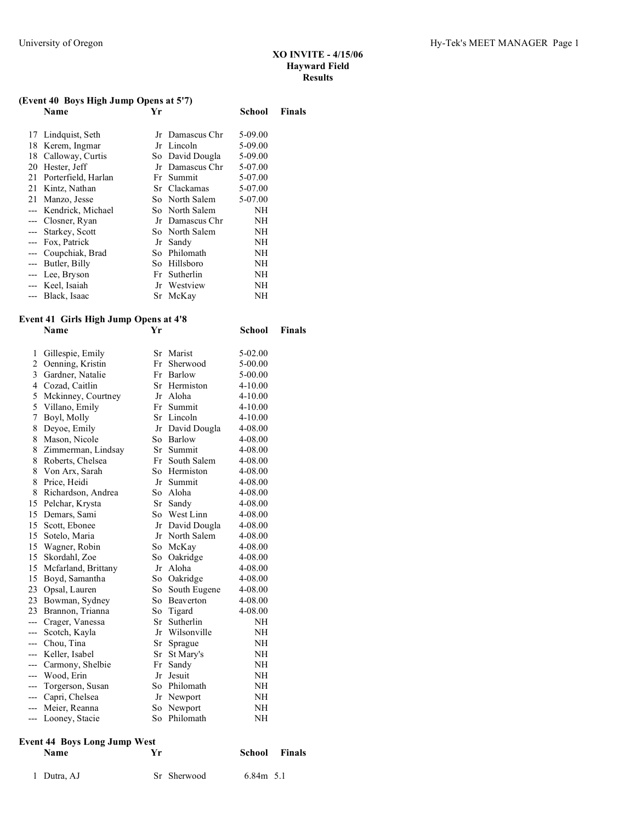**School Finals** 

## **(Event 40 Boys High Jump Opens at 5'7)**

|    | -<br>Name              | Yr |                 | School  | <b>Finals</b> |
|----|------------------------|----|-----------------|---------|---------------|
|    | 17 Lindquist, Seth     |    | Jr Damascus Chr | 5-09.00 |               |
|    | 18 Kerem, Ingmar       |    | Jr Lincoln      | 5-09.00 |               |
|    | 18 Calloway, Curtis    |    | So David Dougla | 5-09.00 |               |
| 20 | Hester, Jeff           |    | Jr Damascus Chr | 5-07.00 |               |
|    | 21 Porterfield, Harlan |    | Fr Summit       | 5-07.00 |               |
| 21 | Kintz, Nathan          |    | Sr Clackamas    | 5-07.00 |               |
| 21 | Manzo, Jesse           |    | So North Salem  | 5-07.00 |               |
|    | --- Kendrick, Michael  |    | So North Salem  | NΗ      |               |
|    | --- Closner, Ryan      |    | Jr Damascus Chr | NH      |               |
|    | --- Starkey, Scott     |    | So North Salem  | NH      |               |
|    | --- Fox, Patrick       |    | Jr Sandy        | NΗ      |               |
|    | --- Coupchiak, Brad    |    | So Philomath    | NH      |               |
|    | --- Butler, Billy      |    | So Hillsboro    | NΗ      |               |
|    | --- Lee, Bryson        |    | Fr Sutherlin    | NΗ      |               |
|    | --- Keel, Isaiah       |    | Jr Westview     | NΗ      |               |
|    | --- Black, Isaac       |    | Sr McKay        | NΗ      |               |

# **Event 41 Girls High Jump Opens at 4'8**

| 1              | Gillespie, Emily    |      | Sr Marist    | 5-02.00     |
|----------------|---------------------|------|--------------|-------------|
| $\overline{2}$ | Oenning, Kristin    | Fr   | Sherwood     | 5-00.00     |
| 3              | Gardner, Natalie    | Fr   | Barlow       | 5-00.00     |
| $\overline{4}$ | Cozad, Caitlin      |      | Sr Hermiston | $4 - 10.00$ |
| 5              | Mckinney, Courtney  |      | Jr Aloha     | 4-10.00     |
| 5              | Villano, Emily      |      | Fr Summit    | $4 - 10.00$ |
| 7              | Boyl, Molly         |      | Sr Lincoln   | $4 - 10.00$ |
| 8              | Deyoe, Emily        | Jr   | David Dougla | 4-08.00     |
| 8              | Mason, Nicole       | So   | Barlow       | 4-08.00     |
| 8              | Zimmerman, Lindsay  | Sr   | Summit       | 4-08.00     |
| 8              | Roberts, Chelsea    | Fr   | South Salem  | 4-08.00     |
| 8              | Von Arx, Sarah      | So   | Hermiston    | 4-08.00     |
| 8              | Price, Heidi        | Jr   | Summit       | 4-08.00     |
| 8              | Richardson, Andrea  | So - | Aloha        | 4-08.00     |
| 15             | Pelchar, Krysta     | Sr   | Sandy        | 4-08.00     |
| 15             | Demars, Sami        |      | So West Linn | 4-08.00     |
| 15             | Scott, Ebonee       | Jr   | David Dougla | 4-08.00     |
| 15             | Sotelo, Maria       | Jr   | North Salem  | 4-08.00     |
| 15             | Wagner, Robin       | So.  | McKay        | 4-08.00     |
| 15             | Skordahl, Zoe       | So - | Oakridge     | 4-08.00     |
| 15             | Mcfarland, Brittany | Jr   | Aloha        | 4-08.00     |
| 15             | Boyd, Samantha      |      | So Oakridge  | 4-08.00     |
| 23             | Opsal, Lauren       | So.  | South Eugene | 4-08.00     |
| 23             | Bowman, Sydney      | So   | Beaverton    | 4-08.00     |
| 23             | Brannon, Trianna    | So   | Tigard       | 4-08.00     |
| $---$          | Crager, Vanessa     | Sr   | Sutherlin    | NΗ          |
| $---$          | Scotch, Kayla       | Jr   | Wilsonville  | NΗ          |
| $---$          | Chou, Tina          | Sr   | Sprague      | NΗ          |
| ---            | Keller, Isabel      | Sr   | St Mary's    | NH          |
| $---$          | Carmony, Shelbie    | Fr   | Sandy        | NΗ          |
| $---$          | Wood, Erin          | Jr   | Jesuit       | NH          |
| $---$          | Torgerson, Susan    | So   | Philomath    | NΗ          |
| ---            | Capri, Chelsea      | Jr   | Newport      | NΗ          |
| $---$          | Meier, Reanna       | So   | Newport      | NΗ          |
| ---            | Looney, Stacie      | So   | Philomath    | NH          |

# **Event 44 Boys Long Jump West**

| <b>Name</b> | Vr          | <b>Finals</b><br>School |
|-------------|-------------|-------------------------|
| 1 Dutra, AJ | Sr Sherwood | $6.84m$ 5.1             |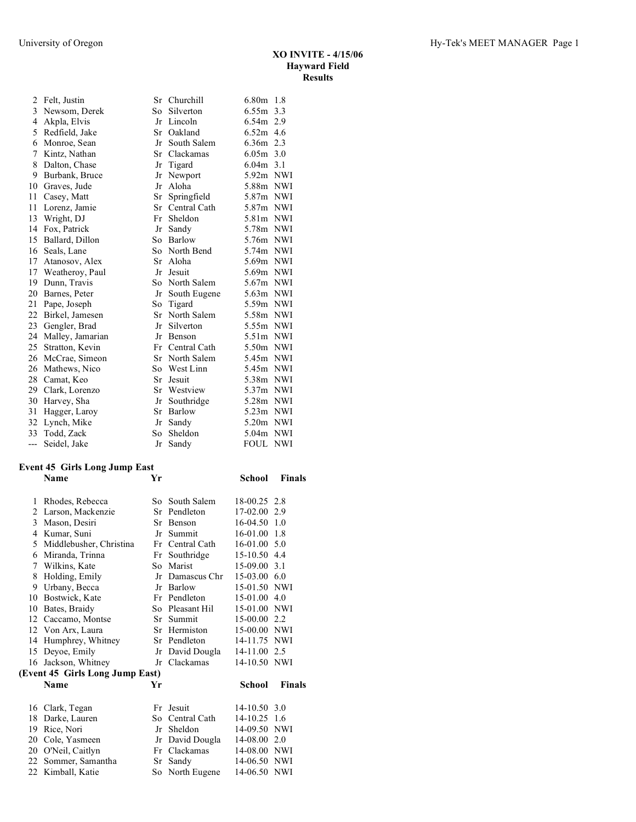| 2   | Felt, Justin     | Sr | Churchill      | $6.80m$ 1.8 |            |
|-----|------------------|----|----------------|-------------|------------|
| 3   | Newsom, Derek    |    | So Silverton   | $6.55m$ 3.3 |            |
| 4   | Akpla, Elvis     | Jr | Lincoln        | 6.54m 2.9   |            |
| 5   | Redfield, Jake   | Sr | Oakland        | 6.52m       | 4.6        |
| 6   | Monroe, Sean     | Jr | South Salem    | 6.36m 2.3   |            |
| 7   | Kintz, Nathan    |    | Sr Clackamas   | $6.05m$ 3.0 |            |
| 8   | Dalton, Chase    | Jr | Tigard         | $6.04m$ 3.1 |            |
| 9   | Burbank, Bruce   | Jr | Newport        | 5.92m NWI   |            |
| 10  | Graves, Jude     | Jr | Aloha          | 5.88m NWI   |            |
| 11  | Casey, Matt      | Sr | Springfield    | 5.87m NWI   |            |
| 11  | Lorenz, Jamie    | Sr | Central Cath   | 5.87m NWI   |            |
| 13  | Wright, DJ       | Fr | Sheldon        | 5.81m       | <b>NWI</b> |
| 14  | Fox, Patrick     | Jr | Sandy          | 5.78m       | <b>NWI</b> |
| 15  | Ballard, Dillon  | So | Barlow         | 5.76m NWI   |            |
| 16  | Seals, Lane      | So | North Bend     | 5.74m NWI   |            |
| 17  | Atanosov, Alex   | Sr | Aloha          | 5.69m NWI   |            |
| 17  | Weatheroy, Paul  | Jr | Jesuit         | 5.69m NWI   |            |
| 19  | Dunn, Travis     |    | So North Salem | 5.67m NWI   |            |
| 20  | Barnes, Peter    | Jr | South Eugene   | 5.63m       | <b>NWI</b> |
| 21  | Pape, Joseph     | So | Tigard         | 5.59m       | <b>NWI</b> |
| 22  | Birkel, Jamesen  |    | Sr North Salem | 5.58m NWI   |            |
| 23. | Gengler, Brad    | Jr | Silverton      | 5.55m NWI   |            |
| 24  | Malley, Jamarian | Jr | Benson         | 5.51m       | <b>NWI</b> |
| 25  | Stratton, Kevin  | Fr | Central Cath   | 5.50m       | <b>NWI</b> |
| 26  | McCrae, Simeon   |    | Sr North Salem | 5.45m NWI   |            |
| 26  | Mathews, Nico    | So | West Linn      | 5.45m NWI   |            |
| 28  | Camat, Keo       | Sr | Jesuit         | 5.38m       | <b>NWI</b> |
| 29  | Clark, Lorenzo   | Sr | Westview       | 5.37m       | <b>NWI</b> |
| 30  | Harvey, Sha      | Jr | Southridge     | 5.28m NWI   |            |
| 31  | Hagger, Laroy    | Sr | Barlow         | 5.23m NWI   |            |
| 32  | Lynch, Mike      | Jr | Sandy          | 5.20m       | <b>NWI</b> |
| 33  | Todd, Zack       | So | Sheldon        | 5.04m       | <b>NWI</b> |
| --- | Seidel, Jake     | Jr | Sandy          | <b>FOUL</b> | <b>NWI</b> |

## **Event 45 Girls Long Jump East**

|    | <b>Name</b>                     | Yr |                 | School       | <b>Finals</b> |
|----|---------------------------------|----|-----------------|--------------|---------------|
| 1  | Rhodes, Rebecca                 |    | So South Salem  | 18-00.25 2.8 |               |
| 2  | Larson, Mackenzie               |    | Sr Pendleton    | 17-02.00     | 2.9           |
| 3  | Mason, Desiri                   | Sr | Benson          | 16-04.50     | 1.0           |
| 4  | Kumar, Suni                     | Jr | Summit          | 16-01.00     | 1.8           |
| 5  | Middlebusher, Christina         |    | Fr Central Cath | 16-01.00     | 5.0           |
| 6  | Miranda, Trinna                 | Fr | Southridge      | 15-10.50     | 4.4           |
| 7  | Wilkins, Kate                   |    | So Marist       | 15-09.00     | 3.1           |
| 8  | Holding, Emily                  | Jr | Damascus Chr    | 15-03.00     | 6.0           |
| 9  | Urbany, Becca                   | Jr | Barlow          | 15-01.50     | NWI           |
| 10 | Bostwick, Kate                  |    | Fr Pendleton    | 15-01.00     | 4.0           |
| 10 | Bates, Braidy                   |    | So Pleasant Hil | 15-01.00     | NWI           |
| 12 | Caccamo, Montse                 | Sr | Summit          | 15-00.00     | 2.2           |
| 12 | Von Arx, Laura                  |    | Sr Hermiston    | 15-00.00     | NWI           |
| 14 | Humphrey, Whitney               |    | Sr Pendleton    | 14-11.75     | NWI           |
| 15 | Deyoe, Emily                    | Jr | David Dougla    | 14-11.00     | 2.5           |
| 16 | Jackson, Whitney                |    | Jr Clackamas    | 14-10.50     | NWI           |
|    | (Event 45 Girls Long Jump East) |    |                 |              |               |
|    | <b>Name</b>                     | Yr |                 | School       | <b>Finals</b> |
| 16 | Clark, Tegan                    |    | Fr Jesuit       | 14-10.50     | 3.0           |
| 18 | Darke, Lauren                   | So | Central Cath    | 14-10.25     | 1.6           |
| 19 | Rice, Nori                      | Jr | <b>Sheldon</b>  | 14-09.50     | NWI           |
| 20 | Cole, Yasmeen                   | Jr | David Dougla    | 14-08.00     | 2.0           |
| 20 | O'Neil, Caitlyn                 |    | Fr Clackamas    | 14-08.00     | NWI           |
| 22 | Sommer, Samantha                | Sr | Sandy           | 14-06.50     | NWI           |
| 22 | Kimball, Katie                  |    | So North Eugene | 14-06.50     | <b>NWI</b>    |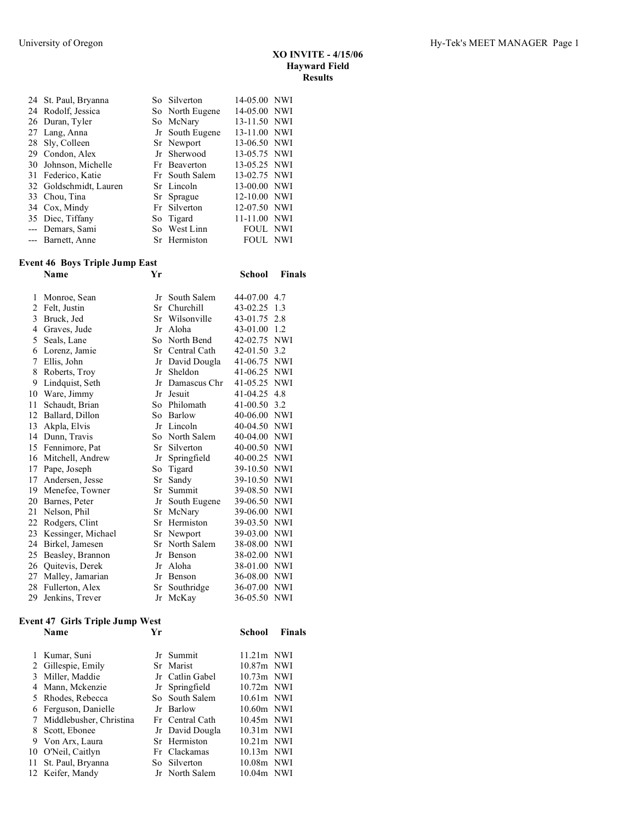| XO INVITE - 4/15/06  |
|----------------------|
| <b>Hayward Field</b> |
| <b>Results</b>       |

| 24 St. Paul, Bryanna   | So Silverton    | 14-05.00 NWI    |  |
|------------------------|-----------------|-----------------|--|
| 24 Rodolf, Jessica     | So North Eugene | 14-05.00 NWI    |  |
| 26 Duran, Tyler        | So McNary       | 13-11.50 NWI    |  |
| 27 Lang, Anna          | Jr South Eugene | 13-11.00 NWI    |  |
| 28 Sly, Colleen        | Sr Newport      | 13-06.50 NWI    |  |
| 29 Condon, Alex        | Jr Sherwood     | 13-05.75 NWI    |  |
| 30 Johnson, Michelle   | Fr Beaverton    | 13-05.25 NWI    |  |
| 31 Federico, Katie     | Fr South Salem  | 13-02.75 NWI    |  |
| 32 Goldschmidt, Lauren | Sr Lincoln      | 13-00.00 NWI    |  |
| 33 Chou, Tina          | Sr Sprague      | 12-10.00 NWI    |  |
| 34 Cox, Mindy          | Fr Silverton    | 12-07.50 NWI    |  |
| 35 Diec, Tiffany       | So Tigard       | 11-11.00 NWI    |  |
| --- Demars, Sami       | So West Linn    | <b>FOUL NWI</b> |  |
| --- Barnett, Anne      | Sr Hermiston    | FOUL NWI        |  |

## **Event 46 Boys Triple Jump East**

|    | Name               | Yr |              | <b>School</b> | <b>Finals</b> |
|----|--------------------|----|--------------|---------------|---------------|
| 1  | Monroe, Sean       | Jr | South Salem  | 44-07.00      | 4.7           |
| 2  | Felt, Justin       | Sr | Churchill    | 43-02.25      | 1.3           |
| 3  | Bruck, Jed         | Sr | Wilsonville  | 43-01.75      | 2.8           |
| 4  | Graves, Jude       | Jr | Aloha        | 43-01.00      | 1.2           |
| 5  | Seals, Lane        | So | North Bend   | 42-02.75      | <b>NWI</b>    |
| 6  | Lorenz, Jamie      | Sr | Central Cath | 42-01.50      | 3.2           |
| 7  | Ellis, John        | Jr | David Dougla | 41-06.75      | <b>NWI</b>    |
| 8  | Roberts, Troy      | Jr | Sheldon      | 41-06.25      | NWI           |
| 9  | Lindquist, Seth    | Jr | Damascus Chr | 41-05.25      | <b>NWI</b>    |
| 10 | Ware, Jimmy        | Jr | Jesuit       | 41-04.25      | 4.8           |
| 11 | Schaudt, Brian     | So | Philomath    | 41-00.50      | 3.2           |
| 12 | Ballard, Dillon    | So | Barlow       | 40-06.00      | <b>NWI</b>    |
| 13 | Akpla, Elvis       | Jr | Lincoln      | 40-04.50      | <b>NWI</b>    |
| 14 | Dunn, Travis       | So | North Salem  | 40-04.00      | <b>NWI</b>    |
| 15 | Fennimore, Pat     | Sr | Silverton    | 40-00.50      | NWI           |
| 16 | Mitchell, Andrew   | Jr | Springfield  | 40-00.25      | <b>NWI</b>    |
| 17 | Pape, Joseph       | So | Tigard       | 39-10.50      | <b>NWI</b>    |
| 17 | Andersen, Jesse    | Sr | Sandy        | 39-10.50      | NWI           |
| 19 | Menefee, Towner    | Sr | Summit       | 39-08.50      | <b>NWI</b>    |
| 20 | Barnes, Peter      | Jr | South Eugene | 39-06.50      | <b>NWI</b>    |
| 21 | Nelson, Phil       | Sr | McNary       | 39-06.00      | <b>NWI</b>    |
| 22 | Rodgers, Clint     | Sr | Hermiston    | 39-03.50      | NWI           |
| 23 | Kessinger, Michael | Sr | Newport      | 39-03.00      | <b>NWI</b>    |
| 24 | Birkel, Jamesen    | Sr | North Salem  | 38-08.00      | <b>NWI</b>    |
| 25 | Beasley, Brannon   | Jr | Benson       | 38-02.00      | NWI           |
| 26 | Quitevis, Derek    | Jr | Aloha        | 38-01.00      | <b>NWI</b>    |
| 27 | Malley, Jamarian   | Jr | Benson       | 36-08.00      | NWI           |
| 28 | Fullerton, Alex    | Sr | Southridge   | 36-07.00      | <b>NWI</b>    |
| 29 | Jenkins, Trever    | Jr | McKay        | 36-05.50      | <b>NWI</b>    |

# **Event 47 Girls Triple Jump West**

| <b>Name</b>               | Уr |                 | School       | <b>Finals</b> |
|---------------------------|----|-----------------|--------------|---------------|
| 1 Kumar, Suni             |    | Jr Summit       | $11.21m$ NWI |               |
| 2 Gillespie, Emily        |    | Sr Marist       | 10.87m NWI   |               |
| 3 Miller, Maddie          |    | Jr Catlin Gabel | $10.73m$ NWI |               |
| 4 Mann, Mckenzie          |    | Jr Springfield  | 10.72m NWI   |               |
| 5 Rhodes, Rebecca         |    | So South Salem  | $10.61m$ NWI |               |
| 6 Ferguson, Danielle      |    | Jr Barlow       | 10.60m NWI   |               |
| 7 Middlebusher, Christina |    | Fr Central Cath | 10.45m NWI   |               |
| 8 Scott, Ebonee           |    | Jr David Dougla | $10.31m$ NWI |               |
| 9 Von Arx, Laura          |    | Sr Hermiston    | $10.21m$ NWI |               |
| 10 O'Neil, Caitlyn        |    | Fr Clackamas    | $10.13m$ NWI |               |
| 11 St. Paul, Bryanna      |    | So Silverton    | 10.08m NWI   |               |
| 12 Keifer, Mandy          |    | Jr North Salem  | 10.04m NWI   |               |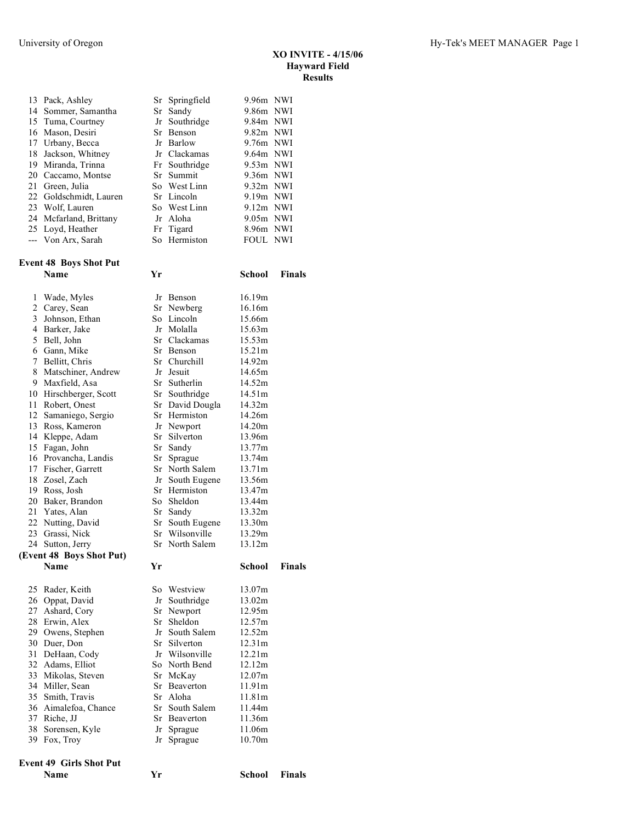| XO INVITE - 4/15/06  |
|----------------------|
| <b>Hayward Field</b> |
| <b>Results</b>       |

|                | 13 Pack, Ashley                | Sr | Springfield              | 9.96m NWI        |               |
|----------------|--------------------------------|----|--------------------------|------------------|---------------|
|                | 14 Sommer, Samantha            |    | Sr Sandy                 | 9.86m NWI        |               |
|                | 15 Tuma, Courtney              | Jr | Southridge               | 9.84m NWI        |               |
|                | 16 Mason, Desiri               |    | Sr Benson                | 9.82m NWI        |               |
|                | 17 Urbany, Becca               |    | Jr Barlow                | 9.76m NWI        |               |
| 18             | Jackson, Whitney               |    | Jr Clackamas             | 9.64m NWI        |               |
|                | 19 Miranda, Trinna             |    | Fr Southridge            | 9.53m NWI        |               |
| 20             | Caccamo, Montse                |    | Sr Summit                | 9.36m NWI        |               |
| 21             | Green, Julia                   |    | So West Linn             | 9.32m NWI        |               |
|                | 22 Goldschmidt, Lauren         |    | Sr Lincoln               | 9.19m NWI        |               |
|                | 23 Wolf, Lauren                |    | So West Linn             | $9.12m$ NWI      |               |
|                |                                |    |                          |                  |               |
|                | 24 Mcfarland, Brittany         |    | Jr Aloha                 | 9.05m NWI        |               |
|                | 25 Loyd, Heather               |    | Fr Tigard                | 8.96m NWI        |               |
|                | --- Von Arx, Sarah             |    | So Hermiston             | FOUL NWI         |               |
|                | <b>Event 48 Boys Shot Put</b>  |    |                          |                  |               |
|                | Name                           | Yr |                          | School           | <b>Finals</b> |
| 1              | Wade, Myles                    |    | Jr Benson                | 16.19m           |               |
| $\overline{c}$ | Carey, Sean                    |    | Sr Newberg               | 16.16m           |               |
| 3              | Johnson, Ethan                 |    | So Lincoln               | 15.66m           |               |
|                |                                |    |                          |                  |               |
| 4              | Barker, Jake                   |    | Jr Molalla               | 15.63m           |               |
| 5              | Bell, John                     |    | Sr Clackamas             | 15.53m           |               |
|                | 6 Gann, Mike                   |    | Sr Benson                | 15.21m           |               |
| 7              | Bellitt, Chris                 |    | Sr Churchill             | 14.92m           |               |
|                | 8 Matschiner, Andrew           |    | Jr Jesuit                | 14.65m           |               |
|                | 9 Maxfield, Asa                |    | Sr Sutherlin             | 14.52m           |               |
|                | 10 Hirschberger, Scott         |    | Sr Southridge            | 14.51m           |               |
| 11             | Robert, Onest                  |    | Sr David Dougla          | 14.32m           |               |
|                | 12 Samaniego, Sergio           |    | Sr Hermiston             | 14.26m           |               |
|                | 13 Ross, Kameron               |    | Jr Newport               | 14.20m           |               |
|                | 14 Kleppe, Adam                |    | Sr Silverton             | 13.96m           |               |
|                |                                |    |                          |                  |               |
|                | 15 Fagan, John                 |    | Sr Sandy                 | 13.77m           |               |
|                | 16 Provancha, Landis           |    | Sr Sprague               | 13.74m           |               |
|                | 17 Fischer, Garrett            |    | Sr North Salem           | 13.71m           |               |
|                | 18 Zosel, Zach                 |    | Jr South Eugene          | 13.56m           |               |
|                | 19 Ross, Josh                  |    | Sr Hermiston             | 13.47m           |               |
|                | 20 Baker, Brandon              |    | So Sheldon               | 13.44m           |               |
| 21             | Yates, Alan                    |    | Sr Sandy                 | 13.32m           |               |
| 22             | Nutting, David                 |    | Sr South Eugene          | 13.30m           |               |
|                | 23 Grassi, Nick                |    | Sr Wilsonville           | 13.29m           |               |
|                | 24 Sutton, Jerry               |    | Sr North Salem           | 13.12m           |               |
|                | (Event 48 Boys Shot Put)       |    |                          |                  |               |
|                | Name                           | Yr |                          | <b>School</b>    | Finals        |
| 25             | Rader, Keith                   |    | So Westview              | 13.07m           |               |
|                | 26 Oppat, David                |    |                          | 13.02m           |               |
|                |                                |    | Jr Southridge            |                  |               |
| 27             | Ashard, Cory                   |    | Sr Newport               | 12.95m           |               |
|                | 28 Erwin, Alex                 |    | Sr Sheldon               | 12.57m           |               |
|                | 29 Owens, Stephen              |    | Jr South Salem           | 12.52m           |               |
| 30             | Duer, Don                      |    | Sr Silverton             | 12.31m           |               |
| 31             | DeHaan, Cody                   |    | Jr Wilsonville           | 12.21m           |               |
|                | 32 Adams, Elliot               |    | So North Bend            | 12.12m           |               |
|                | 33 Mikolas, Steven             |    | Sr McKay                 | 12.07m           |               |
|                | 34 Miller, Sean                |    | Sr Beaverton             | 11.91m           |               |
|                | 35 Smith, Travis               |    | Sr Aloha                 | 11.81m           |               |
|                | 36 Aimalefoa, Chance           |    | Sr South Salem           | 11.44m           |               |
|                | 37 Riche, JJ                   |    |                          |                  |               |
|                |                                |    | Sr Beaverton             | 11.36m           |               |
| 38             | Sorensen, Kyle<br>39 Fox, Troy |    | Jr Sprague<br>Jr Sprague | 11.06m<br>10.70m |               |
|                |                                |    |                          |                  |               |
|                | <b>Event 49 Girls Shot Put</b> |    |                          |                  |               |
|                | Name                           | Yr |                          | School           | Finals        |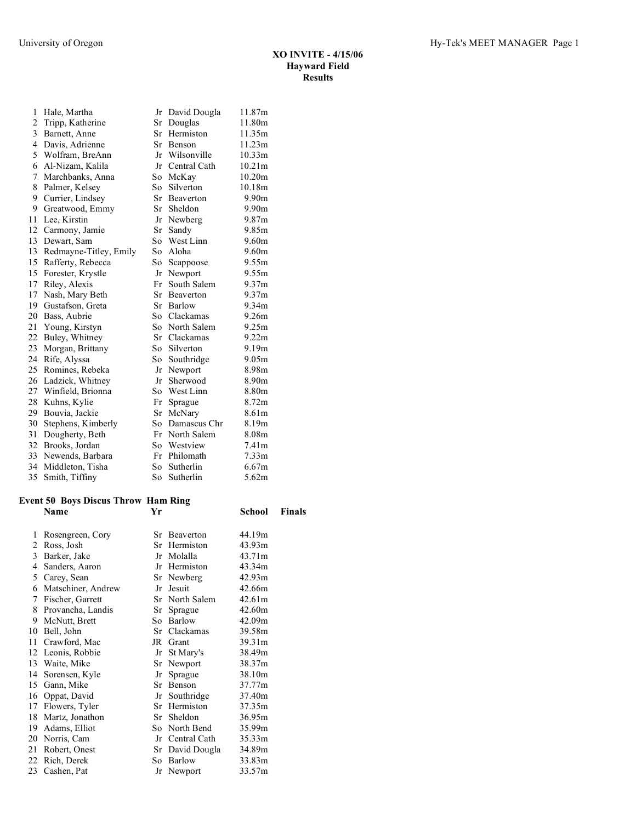| 1              | Hale, Martha           | Jr  | David Dougla    | 11.87m             |
|----------------|------------------------|-----|-----------------|--------------------|
| $\overline{c}$ | Tripp, Katherine       | Sr  | Douglas         | 11.80m             |
| 3              | Barnett, Anne          | Sr  | Hermiston       | 11.35m             |
| 4              | Davis, Adrienne        |     | Sr Benson       | 11.23m             |
| 5              | Wolfram, BreAnn        |     | Jr Wilsonville  | 10.33m             |
| 6              | Al-Nizam, Kalila       | Jr  | Central Cath    | 10.21m             |
| 7              | Marchbanks, Anna       | So  | McKay           | 10.20 <sub>m</sub> |
| 8              | Palmer, Kelsey         | So  | Silverton       | 10.18m             |
| 9              | Currier, Lindsey       | Sr  | Beaverton       | 9.90m              |
| 9              | Greatwood, Emmy        | Sr  | Sheldon         | 9.90m              |
| 11             | Lee, Kirstin           | Jr  | Newberg         | 9.87m              |
| 12             | Carmony, Jamie         | Sr  | Sandy           | 9.85m              |
| 13             | Dewart, Sam            | So. | West Linn       | 9.60m              |
| 13             | Redmayne-Titley, Emily | So. | Aloha           | 9.60m              |
| 15             | Rafferty, Rebecca      | So  | Scappoose       | 9.55m              |
| 15             | Forester, Krystle      | Jr  | Newport         | 9.55m              |
| 17             | Riley, Alexis          | Fr  | South Salem     | 9.37m              |
| 17             | Nash, Mary Beth        | Sr  | Beaverton       | 9.37m              |
| 19             | Gustafson, Greta       |     | Sr Barlow       | 9.34m              |
| 20             | Bass, Aubrie           |     | So Clackamas    | 9.26m              |
| 21             | Young, Kirstyn         |     | So North Salem  | 9.25m              |
| 22             | Buley, Whitney         |     | Sr Clackamas    | 9.22m              |
| 23             | Morgan, Brittany       | So  | Silverton       | 9.19m              |
| 24             | Rife, Alyssa           | So  | Southridge      | 9.05m              |
| 25             | Romines, Rebeka        | Jr  | Newport         | 8.98m              |
| 26             | Ladzick, Whitney       | Jr  | Sherwood        | 8.90m              |
| 27             | Winfield, Brionna      | So  | West Linn       | 8.80m              |
| 28             | Kuhns, Kylie           | Fr  | Sprague         | 8.72m              |
| 29             | Bouvia, Jackie         | Sr  | McNary          | 8.61m              |
| 30             | Stephens, Kimberly     |     | So Damascus Chr | 8.19m              |
| 31             | Dougherty, Beth        |     | Fr North Salem  | 8.08m              |
| 32             | Brooks, Jordan         |     | So Westview     | 7.41 <sub>m</sub>  |
| 33             | Newends, Barbara       |     | Fr Philomath    | 7.33 <sub>m</sub>  |
| 34             | Middleton, Tisha       | So  | Sutherlin       | 6.67m              |
| 35             | Smith, Tiffiny         | So  | Sutherlin       | 5.62m              |
|                |                        |     |                 |                    |

## **Event 50 Boys Discus Throw Ham Ring**

|    | vent 50 Boys Discus Throw Ham Ring |    |                 |        |               |  |  |  |
|----|------------------------------------|----|-----------------|--------|---------------|--|--|--|
|    | Name                               | Yr |                 | School | <b>Finals</b> |  |  |  |
| 1  | Rosengreen, Cory                   |    | Sr Beaverton    | 44.19m |               |  |  |  |
| 2  | Ross, Josh                         |    | Sr Hermiston    | 43.93m |               |  |  |  |
| 3  | Barker, Jake                       |    | Jr Molalla      | 43.71m |               |  |  |  |
| 4  | Sanders, Aaron                     |    | Jr Hermiston    | 43.34m |               |  |  |  |
| 5  | Carey, Sean                        |    | Sr Newberg      | 42.93m |               |  |  |  |
| 6  | Matschiner, Andrew                 |    | Jr Jesuit       | 42.66m |               |  |  |  |
| 7  | Fischer, Garrett                   |    | Sr North Salem  | 42.61m |               |  |  |  |
|    | 8 Provancha, Landis                |    | Sr Sprague      | 42.60m |               |  |  |  |
| 9  | McNutt, Brett                      |    | So Barlow       | 42.09m |               |  |  |  |
| 10 | Bell, John                         |    | Sr Clackamas    | 39.58m |               |  |  |  |
| 11 | Crawford, Mac                      |    | JR Grant        | 39.31m |               |  |  |  |
|    | 12 Leonis, Robbie                  |    | Jr St Mary's    | 38.49m |               |  |  |  |
| 13 | Waite, Mike                        |    | Sr Newport      | 38.37m |               |  |  |  |
| 14 | Sorensen, Kyle                     | Jr | Sprague         | 38.10m |               |  |  |  |
| 15 | Gann, Mike                         |    | Sr Benson       | 37.77m |               |  |  |  |
|    | 16 Oppat, David                    |    | Jr Southridge   | 37.40m |               |  |  |  |
| 17 | Flowers, Tyler                     |    | Sr Hermiston    | 37.35m |               |  |  |  |
| 18 | Martz, Jonathon                    |    | Sr Sheldon      | 36.95m |               |  |  |  |
| 19 | Adams, Elliot                      |    | So North Bend   | 35.99m |               |  |  |  |
| 20 | Norris, Cam                        |    | Jr Central Cath | 35.33m |               |  |  |  |
| 21 | Robert, Onest                      |    | Sr David Dougla | 34.89m |               |  |  |  |
| 22 | Rich, Derek                        |    | So Barlow       | 33.83m |               |  |  |  |
|    | 23 Cashen, Pat                     |    | Jr Newport      | 33.57m |               |  |  |  |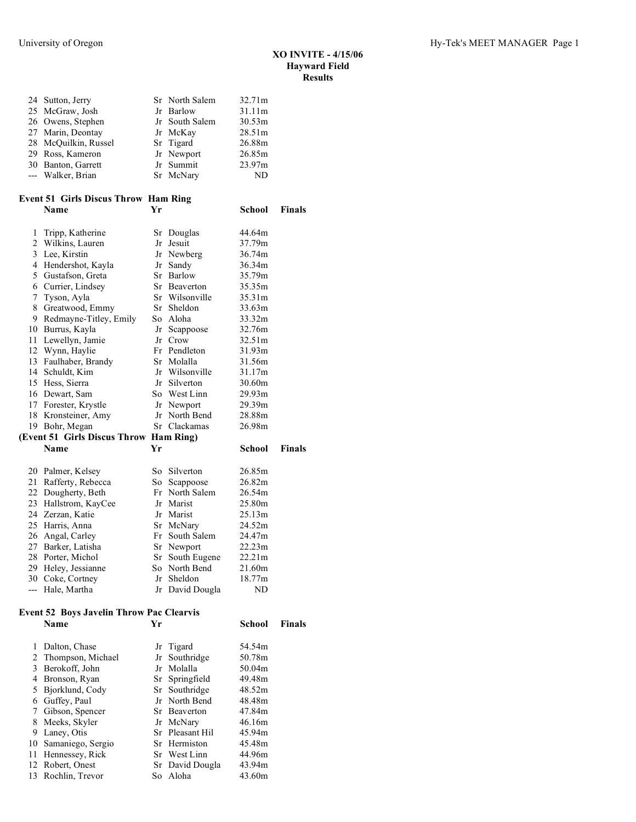**School Finals** 

| 24 Sutton, Jerry     | Sr North Salem | 32.71m |
|----------------------|----------------|--------|
| 25 McGraw, Josh      | Jr Barlow      | 31.11m |
| 26 Owens, Stephen    | Jr South Salem | 30.53m |
| 27 Marin, Deontay    | Jr McKay       | 28.51m |
| 28 McQuilkin, Russel | Sr Tigard      | 26.88m |
| 29 Ross, Kameron     | Jr Newport     | 26.85m |
| 30 Banton, Garrett   | Jr Summit      | 23.97m |
| --- Walker, Brian    | Sr McNary      | ND     |

# **Event 51 Girls Discus Throw Ham Ring**

| 1                                            | Tripp, Katherine                       |    | Sr Douglas      | 44.64m    |  |
|----------------------------------------------|----------------------------------------|----|-----------------|-----------|--|
| $\overline{2}$                               | Wilkins, Lauren                        |    | Jr Jesuit       | 37.79m    |  |
| 3                                            | Lee, Kirstin                           |    | Jr Newberg      | 36.74m    |  |
| $\overline{4}$                               | Hendershot, Kayla                      | Jr | Sandy           | 36.34m    |  |
| 5                                            | Gustafson, Greta                       |    | Sr Barlow       | 35.79m    |  |
| 6                                            | Currier, Lindsey                       |    | Sr Beaverton    | 35.35m    |  |
| 7                                            | Tyson, Ayla                            |    | Sr Wilsonville  | 35.31m    |  |
| 8                                            | Greatwood, Emmy                        |    | Sr Sheldon      | 33.63m    |  |
| 9                                            | Redmayne-Titley, Emily                 |    | So Aloha        | 33.32m    |  |
|                                              | 10 Burrus, Kayla                       |    | Jr Scappoose    | 32.76m    |  |
|                                              | 11 Lewellyn, Jamie                     |    | Jr Crow         | 32.51m    |  |
|                                              | 12 Wynn, Haylie                        |    | Fr Pendleton    | 31.93m    |  |
|                                              | 13 Faulhaber, Brandy                   |    | Sr Molalla      | 31.56m    |  |
|                                              | 14 Schuldt, Kim                        |    | Jr Wilsonville  | 31.17m    |  |
| 15                                           | Hess, Sierra                           | Jr | Silverton       | 30.60m    |  |
|                                              | 16 Dewart, Sam                         |    | So West Linn    | 29.93m    |  |
|                                              | 17 Forester, Krystle                   |    | Jr Newport      | 29.39m    |  |
|                                              | 18 Kronsteiner, Amy                    |    | Jr North Bend   | 28.88m    |  |
|                                              | 19 Bohr, Megan                         |    | Sr Clackamas    | 26.98m    |  |
|                                              | (Event 51 Girls Discus Throw Ham Ring) |    |                 |           |  |
| <b>Name</b><br>Уr<br>School<br><b>Finals</b> |                                        |    |                 |           |  |
|                                              |                                        |    |                 |           |  |
|                                              | 20 Palmer, Kelsey                      |    | So Silverton    | 26.85m    |  |
| 21                                           | Rafferty, Rebecca                      |    | So Scappoose    | 26.82m    |  |
|                                              | 22 Dougherty, Beth                     |    | Fr North Salem  | 26.54m    |  |
|                                              | 23 Hallstrom, KayCee                   |    | Jr Marist       | 25.80m    |  |
|                                              | 24 Zerzan, Katie                       |    | Jr Marist       | 25.13m    |  |
|                                              | 25 Harris, Anna                        |    | Sr McNary       | 24.52m    |  |
|                                              | 26 Angal, Carley                       |    | Fr South Salem  | 24.47m    |  |
|                                              | 27 Barker, Latisha                     |    | Sr Newport      | 22.23m    |  |
|                                              | 28 Porter, Michol                      |    | Sr South Eugene | 22.21m    |  |
|                                              | 29 Heley, Jessianne                    |    | So North Bend   | 21.60m    |  |
| 30                                           | Coke, Cortney                          |    | Jr Sheldon      | 18.77m    |  |
| $---$                                        | Hale, Martha                           |    | Jr David Dougla | <b>ND</b> |  |
|                                              |                                        |    |                 |           |  |

## **Event 52 Boys Javelin Throw Pac Clearvis**

| vent 52 Boys Javelin Throw Pac Clearvis |                      |    |                 |        |               |  |
|-----------------------------------------|----------------------|----|-----------------|--------|---------------|--|
|                                         | Name                 | Yr |                 | School | <b>Finals</b> |  |
|                                         | Dalton, Chase        |    | Jr Tigard       | 54.54m |               |  |
| 2                                       | Thompson, Michael    |    | Jr Southridge   | 50.78m |               |  |
| 3                                       | Berokoff, John       |    | Jr Molalla      | 50.04m |               |  |
| 4                                       | Bronson, Ryan        |    | Sr Springfield  | 49.48m |               |  |
| 5                                       | Bjorklund, Cody      |    | Sr Southridge   | 48.52m |               |  |
| 6                                       | Guffey, Paul         |    | Jr North Bend   | 48.48m |               |  |
| 7                                       | Gibson, Spencer      |    | Sr Beaverton    | 47.84m |               |  |
| 8                                       | Meeks, Skyler        |    | Jr McNary       | 46.16m |               |  |
| 9                                       | Laney, Otis          |    | Sr Pleasant Hil | 45.94m |               |  |
|                                         | 10 Samaniego, Sergio |    | Sr Hermiston    | 45.48m |               |  |
| 11                                      | Hennessey, Rick      |    | Sr West Linn    | 44.96m |               |  |
|                                         | 12 Robert, Onest     |    | Sr David Dougla | 43.94m |               |  |
|                                         | 13 Rochlin, Trevor   |    | So Aloha        | 43.60m |               |  |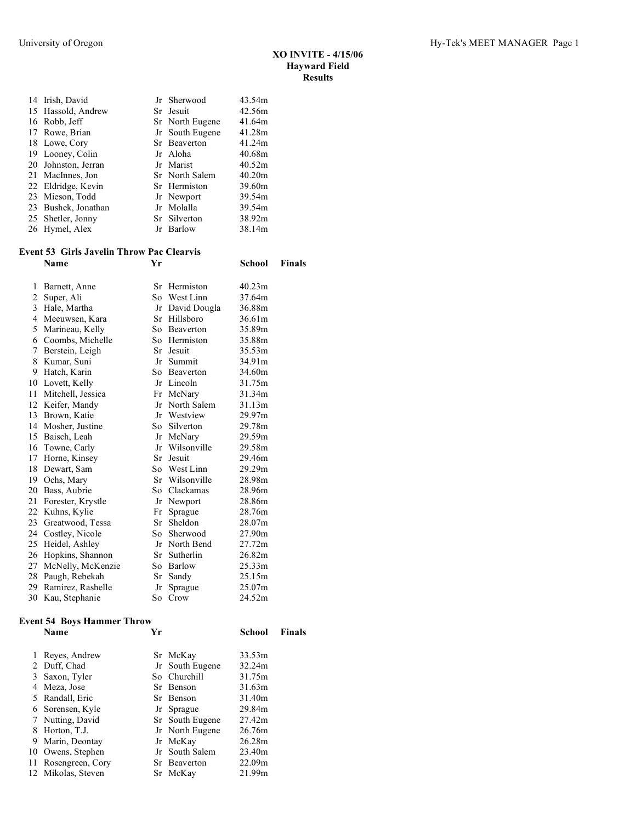| 14 Irish, David     | Jr Sherwood     | 43.54m |
|---------------------|-----------------|--------|
| 15 Hassold, Andrew  | Sr Jesuit       | 42.56m |
| 16 Robb, Jeff       | Sr North Eugene | 41.64m |
| 17 Rowe, Brian      | Jr South Eugene | 41.28m |
| 18 Lowe, Cory       | Sr Beaverton    | 41.24m |
| 19 Looney, Colin    | Jr Aloha        | 40.68m |
| 20 Johnston, Jerran | Jr Marist       | 40.52m |
| 21 MacInnes, Jon    | Sr North Salem  | 40.20m |
| 22 Eldridge, Kevin  | Sr Hermiston    | 39.60m |
| 23 Mieson, Todd     | Jr Newport      | 39.54m |
| 23 Bushek, Jonathan | Jr Molalla      | 39.54m |
| 25 Shetler, Jonny   | Sr Silverton    | 38.92m |
| 26 Hymel, Alex      | Jr Barlow       | 38.14m |
|                     |                 |        |

### **Event 53 Girls Javelin Throw Pac Clearvis Name Yr School Finals**

| 1              | Barnett, Anne     |     | Sr Hermiston | 40.23m |
|----------------|-------------------|-----|--------------|--------|
| 2              | Super, Ali        | So. | West Linn    | 37.64m |
| $\overline{3}$ | Hale, Martha      | Jr  | David Dougla | 36.88m |
| $\overline{4}$ | Meeuwsen, Kara    | Sr  | Hillsboro    | 36.61m |
| 5              | Marineau, Kelly   | So  | Beaverton    | 35.89m |
| 6              | Coombs, Michelle  | So  | Hermiston    | 35.88m |
| 7              | Berstein, Leigh   | Sr  | Jesuit       | 35.53m |
| 8              | Kumar, Suni       | Jr  | Summit       | 34.91m |
| 9              | Hatch, Karin      |     | So Beaverton | 34.60m |
| 10             | Lovett, Kelly     | Jr  | Lincoln      | 31.75m |
| 11             | Mitchell, Jessica | Fr  | McNary       | 31.34m |
| 12             | Keifer, Mandy     | Jr  | North Salem  | 31.13m |
| 13             | Brown, Katie      | Jr  | Westview     | 29.97m |
| 14             | Mosher, Justine   |     | So Silverton | 29.78m |
| 15             | Baisch, Leah      | Jr  | McNary       | 29.59m |
|                | 16 Towne, Carly   | Jr  | Wilsonville  | 29.58m |
| 17             | Horne, Kinsey     | Sr  | Jesuit       | 29.46m |
| 18             | Dewart, Sam       | So  | West Linn    | 29.29m |
|                | 19 Ochs, Mary     | Sr  | Wilsonville  | 28.98m |
| 20             | Bass, Aubrie      | So  | Clackamas    | 28.96m |
| 21             | Forester, Krystle | Jr  | Newport      | 28.86m |
| 22             | Kuhns, Kylie      | Fr  | Sprague      | 28.76m |
| 23             | Greatwood, Tessa  | Sr  | Sheldon      | 28.07m |
| 24             | Costley, Nicole   | So. | Sherwood     | 27.90m |
| 25             | Heidel, Ashley    | Jr  | North Bend   | 27.72m |
| 26             | Hopkins, Shannon  | Sr  | Sutherlin    | 26.82m |
| 27             | McNelly, McKenzie | So. | Barlow       | 25.33m |
| 28             | Paugh, Rebekah    | Sr  | Sandy        | 25.15m |
| 29             | Ramirez, Rashelle | Jr  | Sprague      | 25.07m |
| 30             | Kau, Stephanie    | So  | Crow         | 24.52m |

#### **Event 54 Boys Hammer Throw**

|    | Name               | Уr |                 | School | <b>Finals</b> |
|----|--------------------|----|-----------------|--------|---------------|
|    | Reyes, Andrew      |    | Sr McKay        | 33.53m |               |
|    | 2 Duff, Chad       |    | Jr South Eugene | 32.24m |               |
| 3  | Saxon, Tyler       |    | So Churchill    | 31.75m |               |
| 4  | Meza, Jose         |    | Sr Benson       | 31.63m |               |
|    | 5 Randall, Eric    |    | Sr Benson       | 31.40m |               |
|    | 6 Sorensen, Kyle   |    | Jr Sprague      | 29.84m |               |
|    | 7 Nutting, David   |    | Sr South Eugene | 27.42m |               |
|    | 8 Horton, T.J.     |    | Jr North Eugene | 26.76m |               |
| 9  | Marin, Deontay     |    | Jr McKay        | 26.28m |               |
|    | 10 Owens, Stephen  |    | Jr South Salem  | 23.40m |               |
| 11 | Rosengreen, Cory   |    | Sr Beaverton    | 22.09m |               |
|    | 12 Mikolas, Steven |    | Sr McKay        | 21.99m |               |
|    |                    |    |                 |        |               |